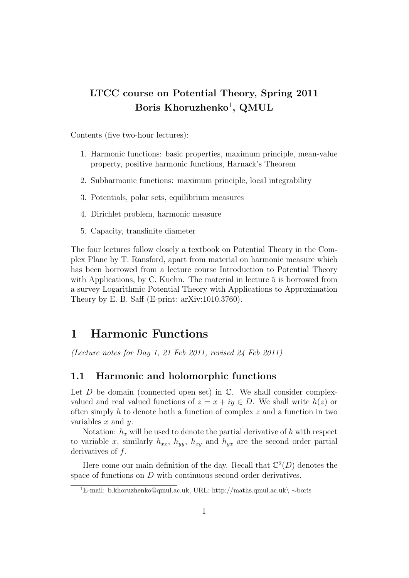## LTCC course on Potential Theory, Spring 2011 Boris Khoruzhenko<sup>1</sup>, QMUL

Contents (five two-hour lectures):

- 1. Harmonic functions: basic properties, maximum principle, mean-value property, positive harmonic functions, Harnack's Theorem
- 2. Subharmonic functions: maximum principle, local integrability
- 3. Potentials, polar sets, equilibrium measures
- 4. Dirichlet problem, harmonic measure
- 5. Capacity, transfinite diameter

The four lectures follow closely a textbook on Potential Theory in the Complex Plane by T. Ransford, apart from material on harmonic measure which has been borrowed from a lecture course Introduction to Potential Theory with Applications, by C. Kuehn. The material in lecture 5 is borrowed from a survey Logarithmic Potential Theory with Applications to Approximation Theory by E. B. Saff (E-print: arXiv:1010.3760).

## 1 Harmonic Functions

(Lecture notes for Day 1, 21 Feb 2011, revised 24 Feb 2011)

#### 1.1 Harmonic and holomorphic functions

Let  $D$  be domain (connected open set) in  $\mathbb{C}$ . We shall consider complexvalued and real valued functions of  $z = x + iy \in D$ . We shall write  $h(z)$  or often simply h to denote both a function of complex  $z$  and a function in two variables  $x$  and  $y$ .

Notation:  $h_x$  will be used to denote the partial derivative of h with respect to variable x, similarly  $h_{xx}$ ,  $h_{yy}$ ,  $h_{xy}$  and  $h_{yx}$  are the second order partial derivatives of f.

Here come our main definition of the day. Recall that  $\mathbb{C}^2(D)$  denotes the space of functions on D with continuous second order derivatives.

<sup>1</sup>E-mail: b.khoruzhenko@qmul.ac.uk, URL: http://maths.qmul.ac.uk\ ∼boris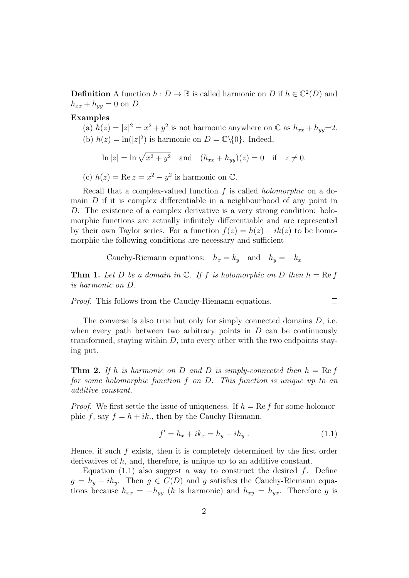**Definition** A function  $h: D \to \mathbb{R}$  is called harmonic on D if  $h \in \mathbb{C}^2(D)$  and  $h_{xx} + h_{yy} = 0$  on D.

Examples

(a)  $h(z) = |z|^2 = x^2 + y^2$  is not harmonic anywhere on  $\mathbb{C}$  as  $h_{xx} + h_{yy} = 2$ . (b)  $h(z) = \ln(|z|^2)$  is harmonic on  $D = \mathbb{C}\backslash\{0\}$ . Indeed,

$$
\ln |z| = \ln \sqrt{x^2 + y^2}
$$
 and  $(h_{xx} + h_{yy})(z) = 0$  if  $z \neq 0$ .

(c)  $h(z) = \text{Re } z = x^2 - y^2$  is harmonic on  $\mathbb{C}$ .

Recall that a complex-valued function  $f$  is called *holomorphic* on a domain  $D$  if it is complex differentiable in a neighbourhood of any point in D. The existence of a complex derivative is a very strong condition: holomorphic functions are actually infinitely differentiable and are represented by their own Taylor series. For a function  $f(z) = h(z) + ik(z)$  to be homomorphic the following conditions are necessary and sufficient

Cauchy-Riemann equations: 
$$
h_x = k_y
$$
 and  $h_y = -k_x$ 

**Thm 1.** Let D be a domain in  $\mathbb{C}$ . If f is holomorphic on D then  $h = \text{Re } f$ is harmonic on D.

Proof. This follows from the Cauchy-Riemann equations.

The converse is also true but only for simply connected domains D, i.e. when every path between two arbitrary points in  $D$  can be continuously transformed, staying within  $D$ , into every other with the two endpoints staying put.

**Thm 2.** If h is harmonic on D and D is simply-connected then  $h = \text{Re } f$ for some holomorphic function f on D. This function is unique up to an additive constant.

*Proof.* We first settle the issue of uniqueness. If  $h = \text{Re } f$  for some holomorphic f, say  $f = h + ik$ , then by the Cauchy-Riemann,

$$
f' = h_x + ik_x = h_y - ih_y.
$$
 (1.1)

 $\Box$ 

Hence, if such  $f$  exists, then it is completely determined by the first order derivatives of h, and, therefore, is unique up to an additive constant.

Equation (1.1) also suggest a way to construct the desired  $f$ . Define  $g = h_y - ih_y$ . Then  $g \in C(D)$  and g satisfies the Cauchy-Riemann equations because  $h_{xx} = -h_{yy}$  (h is harmonic) and  $h_{xy} = h_{yx}$ . Therefore g is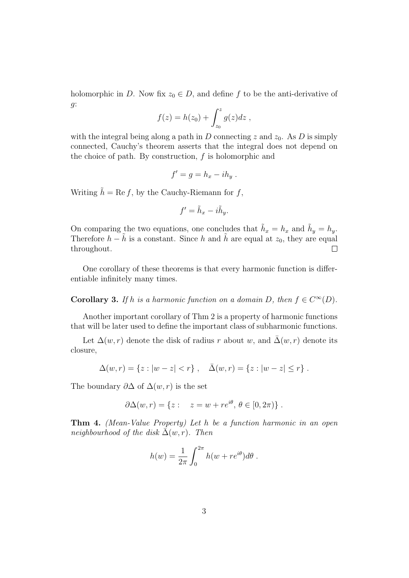holomorphic in D. Now fix  $z_0 \in D$ , and define f to be the anti-derivative of g:

$$
f(z) = h(z_0) + \int_{z_0}^{z} g(z) dz ,
$$

with the integral being along a path in D connecting z and  $z_0$ . As D is simply connected, Cauchy's theorem asserts that the integral does not depend on the choice of path. By construction,  $f$  is holomorphic and

$$
f'=g=h_x-ih_y.
$$

Writing  $\tilde{h} = \text{Re } f$ , by the Cauchy-Riemann for  $f$ ,

$$
f' = \tilde{h}_x - i\tilde{h}_y.
$$

On comparing the two equations, one concludes that  $\tilde{h}_x = h_x$  and  $\tilde{h}_y = h_y$ . Therefore  $h - \tilde{h}$  is a constant. Since h and  $\tilde{h}$  are equal at  $z_0$ , they are equal throughout.  $\Box$ 

One corollary of these theorems is that every harmonic function is differentiable infinitely many times.

**Corollary 3.** If h is a harmonic function on a domain D, then  $f \in C^{\infty}(D)$ .

Another important corollary of Thm 2 is a property of harmonic functions that will be later used to define the important class of subharmonic functions.

Let  $\Delta(w,r)$  denote the disk of radius r about w, and  $\bar{\Delta}(w,r)$  denote its closure,

$$
\Delta(w,r) = \{z : |w - z| < r\}, \quad \bar{\Delta}(w,r) = \{z : |w - z| \leq r\}.
$$

The boundary  $\partial \Delta$  of  $\Delta(w, r)$  is the set

$$
\partial \Delta(w, r) = \{ z : z = w + re^{i\theta}, \, \theta \in [0, 2\pi) \} .
$$

Thm 4. (Mean-Value Property) Let h be a function harmonic in an open neighbourhood of the disk  $\bar{\Delta}(w, r)$ . Then

$$
h(w) = \frac{1}{2\pi} \int_0^{2\pi} h(w + re^{i\theta}) d\theta.
$$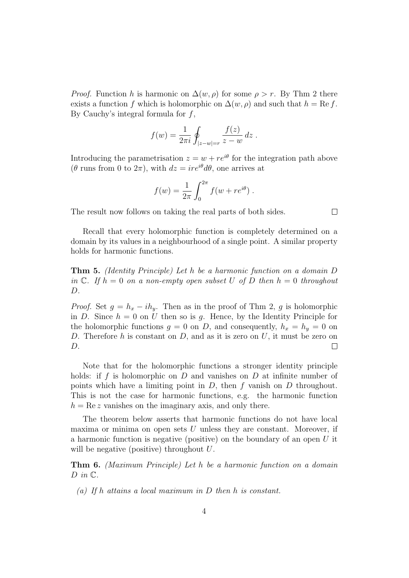*Proof.* Function h is harmonic on  $\Delta(w, \rho)$  for some  $\rho > r$ . By Thm 2 there exists a function f which is holomorphic on  $\Delta(w,\rho)$  and such that  $h = \text{Re } f$ . By Cauchy's integral formula for  $f$ ,

$$
f(w) = \frac{1}{2\pi i} \oint_{|z-w|=r} \frac{f(z)}{z-w} dz .
$$

Introducing the parametrisation  $z = w + re^{i\theta}$  for the integration path above  $(\theta$  runs from 0 to  $2\pi$ , with  $dz = ire^{i\theta} d\theta$ , one arrives at

$$
f(w) = \frac{1}{2\pi} \int_0^{2\pi} f(w + re^{i\theta}).
$$

The result now follows on taking the real parts of both sides.

 $\Box$ 

Recall that every holomorphic function is completely determined on a domain by its values in a neighbourhood of a single point. A similar property holds for harmonic functions.

Thm 5. (Identity Principle) Let h be a harmonic function on a domain D in  $\mathbb C$ . If  $h = 0$  on a non-empty open subset U of D then  $h = 0$  throughout  $D$ .

*Proof.* Set  $g = h_x - ih_y$ . Then as in the proof of Thm 2, g is holomorphic in D. Since  $h = 0$  on U then so is g. Hence, by the Identity Principle for the holomorphic functions  $g = 0$  on D, and consequently,  $h_x = h_y = 0$  on D. Therefore h is constant on  $D$ , and as it is zero on  $U$ , it must be zero on D.  $\Box$ 

Note that for the holomorphic functions a stronger identity principle holds: if  $f$  is holomorphic on  $D$  and vanishes on  $D$  at infinite number of points which have a limiting point in  $D$ , then  $f$  vanish on  $D$  throughout. This is not the case for harmonic functions, e.g. the harmonic function  $h = \text{Re } z$  vanishes on the imaginary axis, and only there.

The theorem below asserts that harmonic functions do not have local maxima or minima on open sets  $U$  unless they are constant. Moreover, if a harmonic function is negative (positive) on the boundary of an open U it will be negative (positive) throughout U.

Thm 6. (Maximum Principle) Let h be a harmonic function on a domain  $D$  in  $\mathbb{C}$ .

(a) If h attains a local maximum in D then h is constant.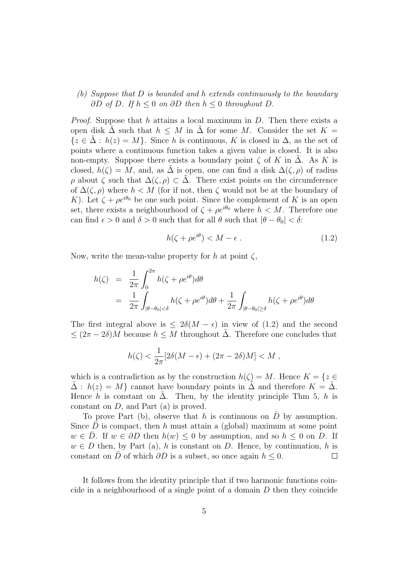#### (b) Suppose that D is bounded and h extends continuously to the boundary ∂D of D. If  $h \leq 0$  on ∂D then  $h \leq 0$  throughout D.

*Proof.* Suppose that h attains a local maximum in  $D$ . Then there exists a open disk  $\tilde{\Delta}$  such that  $h \leq M$  in  $\tilde{\Delta}$  for some M. Consider the set  $K =$  ${z \in \Delta : h(z) = M}$ . Since h is continuous, K is closed in  $\Delta$ , as the set of points where a continuous function takes a given value is closed. It is also non-empty. Suppose there exists a boundary point  $\zeta$  of K in  $\Delta$ . As K is closed,  $h(\zeta) = M$ , and, as  $\tilde{\Delta}$  is open, one can find a disk  $\Delta(\zeta, \rho)$  of radius  $ρ$  about  $ζ$  such that  $Δ(ζ, ρ) ⊂ Δ$ . There exist points on the circumference of  $\Delta(\zeta,\rho)$  where  $h < M$  (for if not, then  $\zeta$  would not be at the boundary of K). Let  $\zeta + \rho e^{i\theta_0}$  be one such point. Since the complement of K is an open set, there exists a neighbourhood of  $\zeta + \rho e^{i\theta_0}$  where  $h < M$ . Therefore one can find  $\epsilon > 0$  and  $\delta > 0$  such that for all  $\theta$  such that  $|\theta - \theta_0| < \delta$ :

$$
h(\zeta + \rho e^{i\theta}) < M - \epsilon \tag{1.2}
$$

Now, write the mean-value property for h at point  $\zeta$ ,

$$
h(\zeta) = \frac{1}{2\pi} \int_0^{2\pi} h(\zeta + \rho e^{i\theta}) d\theta
$$
  
= 
$$
\frac{1}{2\pi} \int_{|\theta - \theta_0| < \delta} h(\zeta + \rho e^{i\theta}) d\theta + \frac{1}{2\pi} \int_{|\theta - \theta_0| \ge \delta} h(\zeta + \rho e^{i\theta}) d\theta
$$

The first integral above is  $\leq 2\delta(M - \epsilon)$  in view of (1.2) and the second  $\leq (2\pi - 2\delta)M$  because  $h \leq M$  throughout  $\tilde{\Delta}$ . Therefore one concludes that

$$
h(\zeta) < \frac{1}{2\pi} [2\delta(M - \epsilon) + (2\pi - 2\delta)M] < M \; ,
$$

which is a contradiction as by the construction  $h(\zeta) = M$ . Hence  $K = \{z \in$  $\tilde{\Delta}: h(z) = M$  cannot have boundary points in  $\tilde{\Delta}$  and therefore  $K = \tilde{\Delta}$ . Hence h is constant on  $\tilde{\Delta}$ . Then, by the identity principle Thm 5, h is constant on D, and Part (a) is proved.

To prove Part (b), observe that h is continuous on  $\overline{D}$  by assumption. Since  $D$  is compact, then h must attain a (global) maximum at some point  $w \in \overline{D}$ . If  $w \in \partial D$  then  $h(w) \leq 0$  by assumption, and so  $h \leq 0$  on D. If  $w \in D$  then, by Part (a), h is constant on D. Hence, by continuation, h is constant on D of which  $\partial D$  is a subset, so once again  $h \leq 0$ . П

It follows from the identity principle that if two harmonic functions coincide in a neighbourhood of a single point of a domain  $D$  then they coincide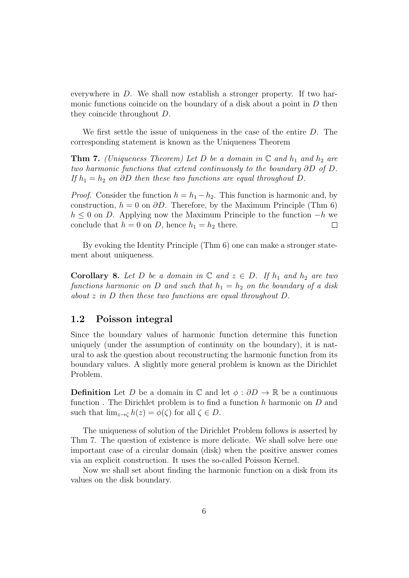everywhere in D. We shall now establish a stronger property. If two harmonic functions coincide on the boundary of a disk about a point in  $D$  then they coincide throughout D.

We first settle the issue of uniqueness in the case of the entire D. The corresponding statement is known as the Uniqueness Theorem

**Thm 7.** (Uniqueness Theorem) Let D be a domain in  $\mathbb{C}$  and  $h_1$  and  $h_2$  are two harmonic functions that extend continuously to the boundary ∂D of D. If  $h_1 = h_2$  on ∂D then these two functions are equal throughout D.

*Proof.* Consider the function  $h = h_1 - h_2$ . This function is harmonic and, by construction,  $h = 0$  on  $\partial D$ . Therefore, by the Maximum Principle (Thm 6)  $h \leq 0$  on D. Applying now the Maximum Principle to the function  $-h$  we conclude that  $h = 0$  on D, hence  $h_1 = h_2$  there.  $\Box$ 

By evoking the Identity Principle (Thm 6) one can make a stronger statement about uniqueness.

**Corollary 8.** Let D be a domain in  $\mathbb{C}$  and  $z \in D$ . If  $h_1$  and  $h_2$  are two functions harmonic on D and such that  $h_1 = h_2$  on the boundary of a disk about z in D then these two functions are equal throughout D.

#### 1.2 Poisson integral

Since the boundary values of harmonic function determine this function uniquely (under the assumption of continuity on the boundary), it is natural to ask the question about reconstructing the harmonic function from its boundary values. A slightly more general problem is known as the Dirichlet Problem.

**Definition** Let D be a domain in  $\mathbb{C}$  and let  $\phi : \partial D \to \mathbb{R}$  be a continuous function. The Dirichlet problem is to find a function h harmonic on  $D$  and such that  $\lim_{z\to\zeta} h(z) = \phi(\zeta)$  for all  $\zeta \in D$ .

The uniqueness of solution of the Dirichlet Problem follows is asserted by Thm 7. The question of existence is more delicate. We shall solve here one important case of a circular domain (disk) when the positive answer comes via an explicit construction. It uses the so-called Poisson Kernel.

Now we shall set about finding the harmonic function on a disk from its values on the disk boundary.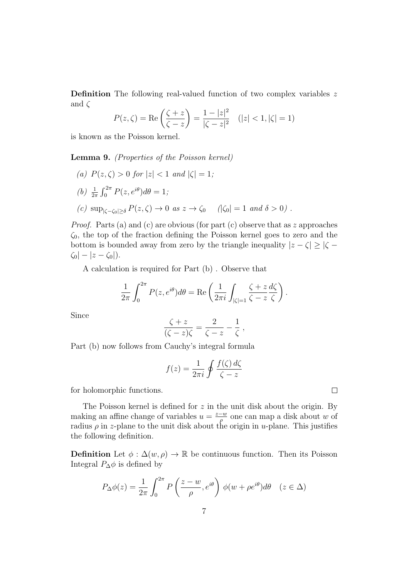Definition The following real-valued function of two complex variables z and  $\zeta$ 

$$
P(z,\zeta) = \text{Re}\left(\frac{\zeta + z}{\zeta - z}\right) = \frac{1 - |z|^2}{|\zeta - z|^2} \quad (|z| < 1, |\zeta| = 1)
$$

is known as the Poisson kernel.

Lemma 9. (Properties of the Poisson kernel)

(a)  $P(z,\zeta) > 0$  for  $|z| < 1$  and  $|\zeta| = 1$ ; (b)  $\frac{1}{2\pi} \int_0^{2\pi} P(z, e^{i\theta}) d\theta = 1;$ (c)  $\sup_{|\zeta-\zeta_0|>\delta} P(z,\zeta) \to 0 \text{ as } z \to \zeta_0 \quad |\zeta_0| = 1 \text{ and } \delta > 0$ .

*Proof.* Parts (a) and (c) are obvious (for part (c) observe that as z approaches  $\zeta_0$ , the top of the fraction defining the Poisson kernel goes to zero and the bottom is bounded away from zero by the triangle inequality  $|z - \zeta| \ge |\zeta - \zeta|$  $|\zeta_0| - |z - \zeta_0|$ ).

A calculation is required for Part (b) . Observe that

$$
\frac{1}{2\pi} \int_0^{2\pi} P(z, e^{i\theta}) d\theta = \text{Re}\left(\frac{1}{2\pi i} \int_{|\zeta|=1} \frac{\zeta + z}{\zeta - z} \frac{d\zeta}{\zeta}\right).
$$

Since

$$
\frac{\zeta + z}{(\zeta - z)\zeta} = \frac{2}{\zeta - z} - \frac{1}{\zeta} ,
$$

Part (b) now follows from Cauchy's integral formula

$$
f(z) = \frac{1}{2\pi i} \oint \frac{f(\zeta) d\zeta}{\zeta - z}
$$

 $\Box$ 

for holomorphic functions.

The Poisson kernel is defined for z in the unit disk about the origin. By making an affine change of variables  $u = \frac{z-w}{a}$  one can map a disk about w of making an annie enange of variables  $u = \rho$  one can map a disk about w or<br>radius  $\rho$  in z-plane to the unit disk about the origin in u-plane. This justifies the following definition.

**Definition** Let  $\phi : \Delta(w, \rho) \to \mathbb{R}$  be continuous function. Then its Poisson Integral  $P_{\Delta}\phi$  is defined by

$$
P_{\Delta}\phi(z) = \frac{1}{2\pi} \int_0^{2\pi} P\left(\frac{z-w}{\rho}, e^{i\theta}\right) \phi(w + \rho e^{i\theta}) d\theta \quad (z \in \Delta)
$$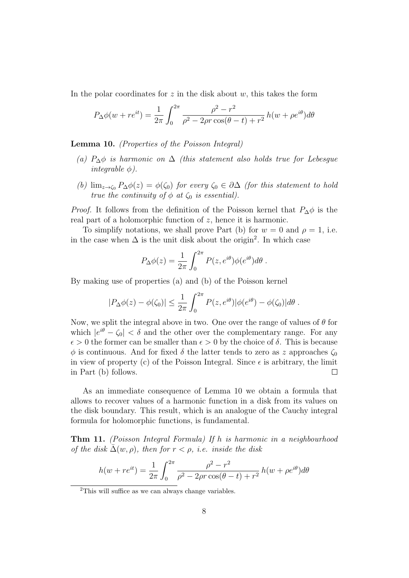In the polar coordinates for  $z$  in the disk about  $w$ , this takes the form

$$
P_{\Delta}\phi(w + re^{it}) = \frac{1}{2\pi} \int_0^{2\pi} \frac{\rho^2 - r^2}{\rho^2 - 2\rho r \cos(\theta - t) + r^2} h(w + \rho e^{i\theta}) d\theta
$$

Lemma 10. (Properties of the Poisson Integral)

- (a)  $P_{\Delta} \phi$  is harmonic on  $\Delta$  (this statement also holds true for Lebesgue integrable  $\phi$ ).
- (b)  $\lim_{z\to\zeta_0} P_\Delta \phi(z) = \phi(\zeta_0)$  for every  $\zeta_0 \in \partial \Delta$  (for this statement to hold true the continuity of  $\phi$  at  $\zeta_0$  is essential).

*Proof.* It follows from the definition of the Poisson kernel that  $P_{\Delta}\phi$  is the real part of a holomorphic function of z, hence it is harmonic.

To simplify notations, we shall prove Part (b) for  $w = 0$  and  $\rho = 1$ , i.e. in the case when  $\Delta$  is the unit disk about the origin<sup>2</sup>. In which case

$$
P_{\Delta}\phi(z) = \frac{1}{2\pi} \int_0^{2\pi} P(z, e^{i\theta}) \phi(e^{i\theta}) d\theta.
$$

By making use of properties (a) and (b) of the Poisson kernel

$$
|P_{\Delta}\phi(z) - \phi(\zeta_0)| \leq \frac{1}{2\pi} \int_0^{2\pi} P(z, e^{i\theta}) |\phi(e^{i\theta}) - \phi(\zeta_0)| d\theta.
$$

Now, we split the integral above in two. One over the range of values of  $\theta$  for which  $|e^{i\theta} - \zeta_0| < \delta$  and the other over the complementary range. For any  $\epsilon > 0$  the former can be smaller than  $\epsilon > 0$  by the choice of  $\delta$ . This is because  $\phi$  is continuous. And for fixed  $\delta$  the latter tends to zero as z approaches  $\zeta_0$ in view of property (c) of the Poisson Integral. Since  $\epsilon$  is arbitrary, the limit in Part (b) follows.  $\Box$ 

As an immediate consequence of Lemma 10 we obtain a formula that allows to recover values of a harmonic function in a disk from its values on the disk boundary. This result, which is an analogue of the Cauchy integral formula for holomorphic functions, is fundamental.

Thm 11. (Poisson Integral Formula) If h is harmonic in a neighbourhood of the disk  $\overline{\Delta}(w, \rho)$ , then for  $r < \rho$ , i.e. inside the disk

$$
h(w + re^{it}) = \frac{1}{2\pi} \int_0^{2\pi} \frac{\rho^2 - r^2}{\rho^2 - 2\rho r \cos(\theta - t) + r^2} h(w + \rho e^{i\theta}) d\theta
$$

<sup>2</sup>This will suffice as we can always change variables.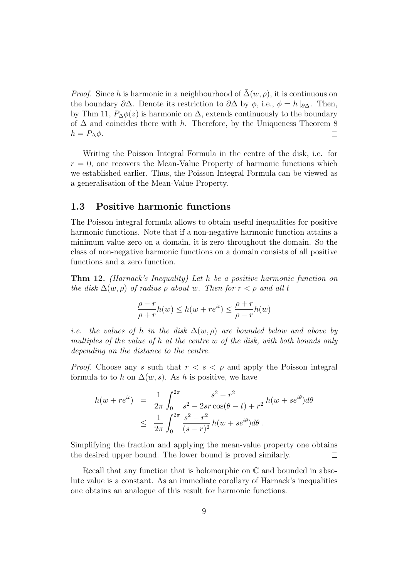*Proof.* Since h is harmonic in a neighbourhood of  $\Delta(w, \rho)$ , it is continuous on the boundary  $\partial\Delta$ . Denote its restriction to  $\partial\Delta$  by  $\phi$ , i.e.,  $\phi = h|_{\partial\Delta}$ . Then, by Thm 11,  $P_{\Delta}\phi(z)$  is harmonic on  $\Delta$ , extends continuously to the boundary of  $\Delta$  and coincides there with h. Therefore, by the Uniqueness Theorem 8  $h = P_{\Delta} \phi$ .  $\Box$ 

Writing the Poisson Integral Formula in the centre of the disk, i.e. for  $r = 0$ , one recovers the Mean-Value Property of harmonic functions which we established earlier. Thus, the Poisson Integral Formula can be viewed as a generalisation of the Mean-Value Property.

### 1.3 Positive harmonic functions

The Poisson integral formula allows to obtain useful inequalities for positive harmonic functions. Note that if a non-negative harmonic function attains a minimum value zero on a domain, it is zero throughout the domain. So the class of non-negative harmonic functions on a domain consists of all positive functions and a zero function.

Thm 12. (Harnack's Inequality) Let h be a positive harmonic function on the disk  $\Delta(w, \rho)$  of radius  $\rho$  about w. Then for  $r < \rho$  and all t

$$
\frac{\rho-r}{\rho+r}h(w)\leq h(w+re^{it})\leq \frac{\rho+r}{\rho-r}h(w)
$$

i.e. the values of h in the disk  $\Delta(w,\rho)$  are bounded below and above by multiples of the value of h at the centre w of the disk, with both bounds only depending on the distance to the centre.

*Proof.* Choose any s such that  $r < s < \rho$  and apply the Poisson integral formula to to h on  $\Delta(w, s)$ . As h is positive, we have

$$
h(w + re^{it}) = \frac{1}{2\pi} \int_0^{2\pi} \frac{s^2 - r^2}{s^2 - 2sr\cos(\theta - t) + r^2} h(w + se^{i\theta}) d\theta
$$
  
 
$$
\leq \frac{1}{2\pi} \int_0^{2\pi} \frac{s^2 - r^2}{(s - r)^2} h(w + se^{i\theta}) d\theta.
$$

Simplifying the fraction and applying the mean-value property one obtains the desired upper bound. The lower bound is proved similarly.  $\Box$ 

Recall that any function that is holomorphic on  $\mathbb C$  and bounded in absolute value is a constant. As an immediate corollary of Harnack's inequalities one obtains an analogue of this result for harmonic functions.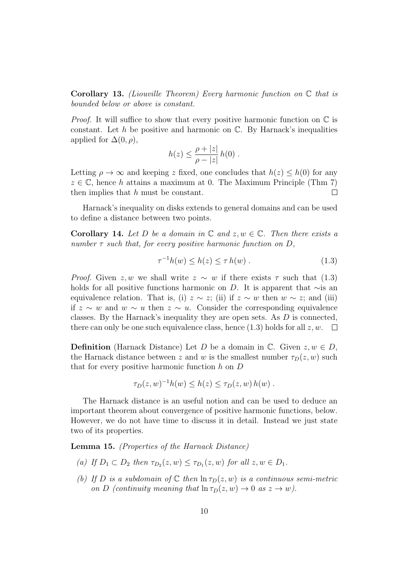**Corollary 13.** (Liouville Theorem) Every harmonic function on  $\mathbb C$  that is bounded below or above is constant.

*Proof.* It will suffice to show that every positive harmonic function on  $\mathbb C$  is constant. Let  $h$  be positive and harmonic on  $\mathbb{C}$ . By Harnack's inequalities applied for  $\Delta(0, \rho)$ ,

$$
h(z) \leq \frac{\rho + |z|}{\rho - |z|} h(0) .
$$

Letting  $\rho \to \infty$  and keeping z fixed, one concludes that  $h(z) \leq h(0)$  for any  $z \in \mathbb{C}$ , hence h attains a maximum at 0. The Maximum Principle (Thm 7) then implies that h must be constant.  $\Box$ 

Harnack's inequality on disks extends to general domains and can be used to define a distance between two points.

**Corollary 14.** Let D be a domain in  $\mathbb{C}$  and  $z, w \in \mathbb{C}$ . Then there exists a number  $\tau$  such that, for every positive harmonic function on D,

$$
\tau^{-1}h(w) \le h(z) \le \tau h(w) . \tag{1.3}
$$

*Proof.* Given z, w we shall write  $z \sim w$  if there exists  $\tau$  such that (1.3) holds for all positive functions harmonic on D. It is apparent that ∼is an equivalence relation. That is, (i)  $z \sim z$ ; (ii) if  $z \sim w$  then  $w \sim z$ ; and (iii) if z ∼ w and w ∼ u then z ∼ u. Consider the corresponding equivalence classes. By the Harnack's inequality they are open sets. As D is connected, there can only be one such equivalence class, hence (1.3) holds for all  $z, w$ .  $\square$ 

**Definition** (Harnack Distance) Let D be a domain in  $\mathbb{C}$ . Given  $z, w \in D$ , the Harnack distance between z and w is the smallest number  $\tau_D(z, w)$  such that for every positive harmonic function  $h$  on  $D$ 

$$
\tau_D(z,w)^{-1}h(w) \leq h(z) \leq \tau_D(z,w)h(w) .
$$

The Harnack distance is an useful notion and can be used to deduce an important theorem about convergence of positive harmonic functions, below. However, we do not have time to discuss it in detail. Instead we just state two of its properties.

Lemma 15. (Properties of the Harnack Distance)

- (a) If  $D_1 \subset D_2$  then  $\tau_{D_2}(z, w) \leq \tau_{D_1}(z, w)$  for all  $z, w \in D_1$ .
- (b) If D is a subdomain of  $\mathbb C$  then  $\ln \tau_D(z, w)$  is a continuous semi-metric on D (continuity meaning that  $\ln \tau_D(z, w) \to 0$  as  $z \to w$ ).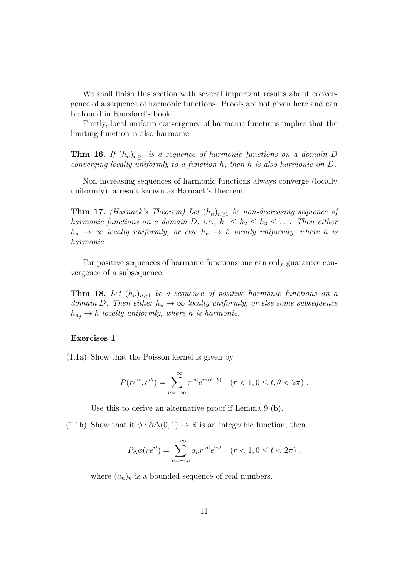We shall finish this section with several important results about convergence of a sequence of harmonic functions. Proofs are not given here and can be found in Ransford's book.

Firstly, local uniform convergence of harmonic functions implies that the limiting function is also harmonic.

**Thm 16.** If  $(h_n)_{n\geq 1}$  is a sequence of harmonic functions on a domain D converging locally uniformly to a function h, then h is also harmonic on D.

Non-increasing sequences of harmonic functions always converge (locally uniformly), a result known as Harnack's theorem.

**Thm 17.** (Harnack's Theorem) Let  $(h_n)_{n>1}$  be non-decreasing sequence of harmonic functions on a domain D, i.e.,  $h_1 \leq h_2 \leq h_3 \leq \ldots$  Then either  $h_n \rightarrow \infty$  locally uniformly, or else  $h_n \rightarrow h$  locally uniformly, where h is harmonic.

For positive sequences of harmonic functions one can only guarantee convergence of a subsequence.

**Thm 18.** Let  $(h_n)_{n>1}$  be a sequence of positive harmonic functions on a domain D. Then either  $h_n \to \infty$  locally uniformly, or else some subsequence  $h_{n_i} \to h$  locally uniformly, where h is harmonic.

#### Exercises 1

(1.1a) Show that the Poisson kernel is given by

$$
P(re^{it}, e^{i\theta}) = \sum_{n=-\infty}^{+\infty} r^{|n|} e^{in(t-\theta)} \quad (r < 1, 0 \le t, \theta < 2\pi) .
$$

Use this to derive an alternative proof if Lemma 9 (b).

(1.1b) Show that it  $\phi : \partial \Delta(0,1) \to \mathbb{R}$  is an integrable function, then

$$
P_{\Delta}\phi(re^{it}) = \sum_{n=-\infty}^{+\infty} a_n r^{|n|} e^{int} \quad (r < 1, 0 \le t < 2\pi) \;,
$$

where  $(a_n)_n$  is a bounded sequence of real numbers.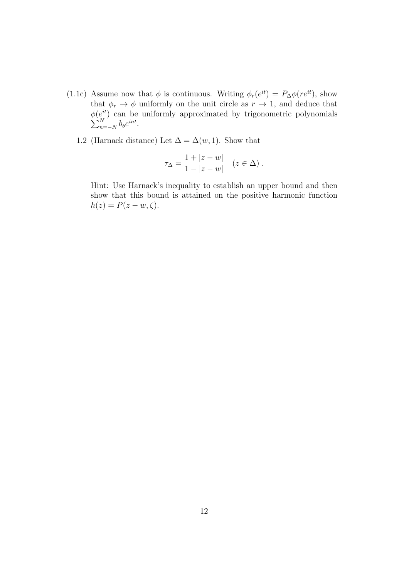- (1.1c) Assume now that  $\phi$  is continuous. Writing  $\phi_r(e^{it}) = P_{\Delta}\phi(re^{it})$ , show that  $\phi_r \to \phi$  uniformly on the unit circle as  $r \to 1$ , and deduce that  $\phi(e^{it}$  $\sum$  $e^{it}$  can be uniformly approximated by trigonometric polynomials  $N$  $\sum_{n=-N}^{N} b_b e^{int}.$ 
	- 1.2 (Harnack distance) Let  $\Delta = \Delta(w, 1)$ . Show that

$$
\tau_{\Delta} = \frac{1 + |z - w|}{1 - |z - w|} \quad (z \in \Delta) .
$$

Hint: Use Harnack's inequality to establish an upper bound and then show that this bound is attained on the positive harmonic function  $h(z) = P(z - w, \zeta).$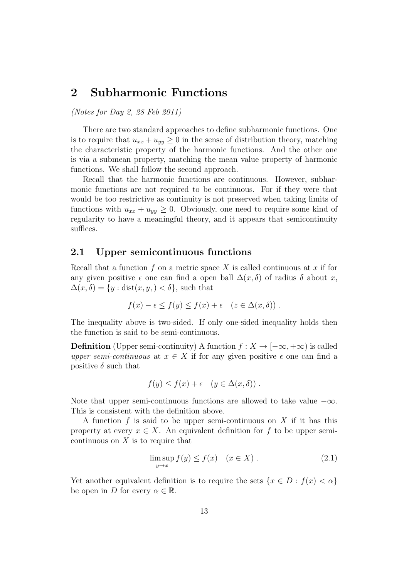## 2 Subharmonic Functions

(Notes for Day 2, 28 Feb 2011)

There are two standard approaches to define subharmonic functions. One is to require that  $u_{xx} + u_{yy} \geq 0$  in the sense of distribution theory, matching the characteristic property of the harmonic functions. And the other one is via a submean property, matching the mean value property of harmonic functions. We shall follow the second approach.

Recall that the harmonic functions are continuous. However, subharmonic functions are not required to be continuous. For if they were that would be too restrictive as continuity is not preserved when taking limits of functions with  $u_{xx} + u_{yy} \geq 0$ . Obviously, one need to require some kind of regularity to have a meaningful theory, and it appears that semicontinuity suffices.

#### 2.1 Upper semicontinuous functions

Recall that a function f on a metric space X is called continuous at x if for any given positive  $\epsilon$  one can find a open ball  $\Delta(x,\delta)$  of radius  $\delta$  about x,  $\Delta(x,\delta) = \{y : \text{dist}(x,y, ) \leq \delta\},$  such that

$$
f(x) - \epsilon \le f(y) \le f(x) + \epsilon \quad (z \in \Delta(x, \delta)) .
$$

The inequality above is two-sided. If only one-sided inequality holds then the function is said to be semi-continuous.

**Definition** (Upper semi-continuity) A function  $f : X \to [-\infty, +\infty)$  is called upper semi-continuous at  $x \in X$  if for any given positive  $\epsilon$  one can find a positive  $\delta$  such that

$$
f(y) \le f(x) + \epsilon \quad (y \in \Delta(x, \delta)) \ .
$$

Note that upper semi-continuous functions are allowed to take value  $-\infty$ . This is consistent with the definition above.

A function  $f$  is said to be upper semi-continuous on  $X$  if it has this property at every  $x \in X$ . An equivalent definition for f to be upper semicontinuous on  $X$  is to require that

$$
\limsup_{y \to x} f(y) \le f(x) \quad (x \in X). \tag{2.1}
$$

Yet another equivalent definition is to require the sets  $\{x \in D : f(x) < \alpha\}$ be open in D for every  $\alpha \in \mathbb{R}$ .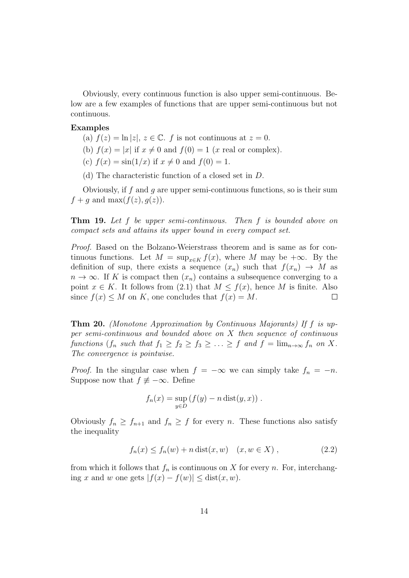Obviously, every continuous function is also upper semi-continuous. Below are a few examples of functions that are upper semi-continuous but not continuous.

#### Examples

- (a)  $f(z) = \ln |z|, z \in \mathbb{C}$ . f is not continuous at  $z = 0$ .
- (b)  $f(x) = |x|$  if  $x \neq 0$  and  $f(0) = 1$  (x real or complex).
- (c)  $f(x) = \sin(1/x)$  if  $x \neq 0$  and  $f(0) = 1$ .
- (d) The characteristic function of a closed set in D.

Obviously, if f and q are upper semi-continuous functions, so is their sum  $f + q$  and max $(f(z), q(z))$ .

Thm 19. Let f be upper semi-continuous. Then f is bounded above on compact sets and attains its upper bound in every compact set.

Proof. Based on the Bolzano-Weierstrass theorem and is same as for continuous functions. Let  $M = \sup_{x \in K} f(x)$ , where M may be  $+\infty$ . By the definition of sup, there exists a sequence  $(x_n)$  such that  $f(x_n) \to M$  as  $n \to \infty$ . If K is compact then  $(x_n)$  contains a subsequence converging to a point  $x \in K$ . It follows from (2.1) that  $M \leq f(x)$ , hence M is finite. Also since  $f(x) \leq M$  on K, one concludes that  $f(x) = M$ .  $\Box$ 

Thm 20. (Monotone Approximation by Continuous Majorants) If f is upper semi-continuous and bounded above on  $X$  then sequence of continuous functions  $(f_n \text{ such that } f_1 \geq f_2 \geq f_3 \geq \ldots \geq f_n \text{ and } f = \lim_{n \to \infty} f_n \text{ on } X$ . The convergence is pointwise.

*Proof.* In the singular case when  $f = -\infty$  we can simply take  $f_n = -n$ . Suppose now that  $f \not\equiv -\infty$ . Define

$$
f_n(x) = \sup_{y \in D} (f(y) - n \operatorname{dist}(y, x)).
$$

Obviously  $f_n \geq f_{n+1}$  and  $f_n \geq f$  for every n. These functions also satisfy the inequality

$$
f_n(x) \le f_n(w) + n \text{ dist}(x, w) \quad (x, w \in X), \tag{2.2}
$$

from which it follows that  $f_n$  is continuous on X for every n. For, interchanging x and w one gets  $|f(x) - f(w)| \leq \text{dist}(x, w)$ .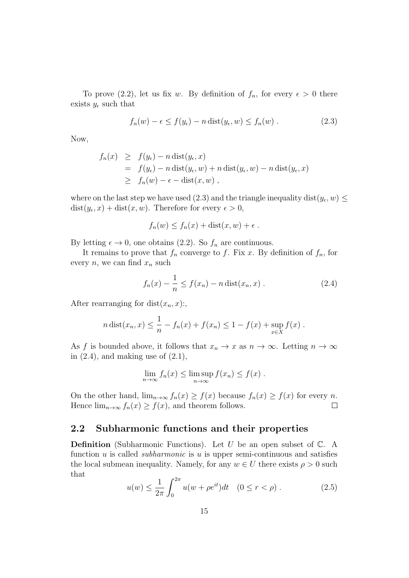To prove (2.2), let us fix w. By definition of  $f_n$ , for every  $\epsilon > 0$  there exists  $y_{\epsilon}$  such that

$$
f_n(w) - \epsilon \le f(y_\epsilon) - n \operatorname{dist}(y_\epsilon, w) \le f_n(w) . \tag{2.3}
$$

Now,

$$
f_n(x) \geq f(y_\epsilon) - n \operatorname{dist}(y_\epsilon, x)
$$
  
=  $f(y_\epsilon) - n \operatorname{dist}(y_\epsilon, w) + n \operatorname{dist}(y_\epsilon, w) - n \operatorname{dist}(y_\epsilon, x)$   
 $\geq f_n(w) - \epsilon - \operatorname{dist}(x, w)$ ,

where on the last step we have used  $(2.3)$  and the triangle inequality dist $(y_\epsilon, w) \leq$  $dist(y_\epsilon, x) + dist(x, w)$ . Therefore for every  $\epsilon > 0$ ,

$$
f_n(w) \le f_n(x) + \text{dist}(x, w) + \epsilon.
$$

By letting  $\epsilon \to 0$ , one obtains (2.2). So  $f_n$  are continuous.

It remains to prove that  $f_n$  converge to f. Fix x. By definition of  $f_n$ , for every  $n$ , we can find  $x_n$  such

$$
f_n(x) - \frac{1}{n} \le f(x_n) - n \operatorname{dist}(x_n, x) . \tag{2.4}
$$

After rearranging for dist $(x_n, x)$ :

$$
n \operatorname{dist}(x_n, x) \le \frac{1}{n} - f_n(x) + f(x_n) \le 1 - f(x) + \sup_{x \in X} f(x) .
$$

As f is bounded above, it follows that  $x_n \to x$  as  $n \to \infty$ . Letting  $n \to \infty$ in  $(2.4)$ , and making use of  $(2.1)$ ,

$$
\lim_{n \to \infty} f_n(x) \le \limsup_{n \to \infty} f(x_n) \le f(x) .
$$

On the other hand,  $\lim_{n\to\infty} f_n(x) \ge f(x)$  because  $f_n(x) \ge f(x)$  for every n. Hence  $\lim_{n\to\infty} f_n(x) \geq f(x)$ , and theorem follows.  $\Box$ 

#### 2.2 Subharmonic functions and their properties

**Definition** (Subharmonic Functions). Let U be an open subset of  $\mathbb{C}$ . A function u is called *subharmonic* is u is upper semi-continuous and satisfies the local submean inequality. Namely, for any  $w \in U$  there exists  $\rho > 0$  such that

$$
u(w) \le \frac{1}{2\pi} \int_0^{2\pi} u(w + \rho e^{it}) dt \quad (0 \le r < \rho).
$$
 (2.5)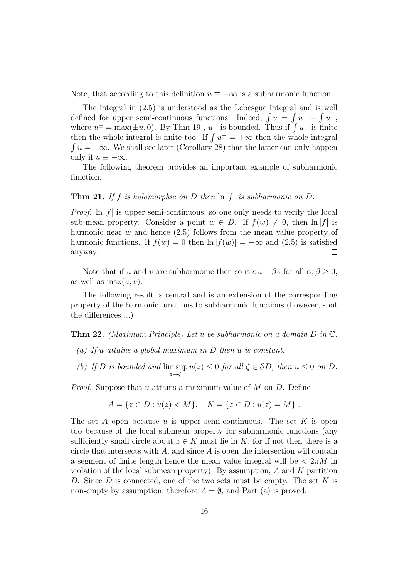Note, that according to this definition  $u \equiv -\infty$  is a subharmonic function.

The integral in (2.5) is understood as the Lebesgue integral and is well defined for upper semi-continuous functions. Indeed,  $\int u = \int u^+ - \int u^-,$ where  $u^{\pm} = \max(\pm u, 0)$ . By Thm 19,  $u^+$  is bounded. Thus if  $\int u^-$  is finite then the whole integral is finite too. If  $\int u^{-} = +\infty$  then the whole integral  $\int u = -\infty$ . We shall see later (Corollary 28) that the latter can only happen only if  $u \equiv -\infty$ .

The following theorem provides an important example of subharmonic function.

#### **Thm 21.** If f is holomorphic on D then  $\ln |f|$  is subharmonic on D.

*Proof.*  $\ln |f|$  is upper semi-continuous, so one only needs to verify the local sub-mean property. Consider a point  $w \in D$ . If  $f(w) \neq 0$ , then  $\ln |f|$  is harmonic near  $w$  and hence  $(2.5)$  follows from the mean value property of harmonic functions. If  $f(w) = 0$  then  $\ln |f(w)| = -\infty$  and (2.5) is satisfied anyway.  $\Box$ 

Note that if u and v are subharmonic then so is  $\alpha u + \beta v$  for all  $\alpha, \beta \geq 0$ , as well as  $\max(u, v)$ .

The following result is central and is an extension of the corresponding property of the harmonic functions to subharmonic functions (however, spot the differences ...)

**Thm 22.** (Maximum Principle) Let u be subharmonic on a domain  $D$  in  $\mathbb{C}$ .

- (a) If u attains a global maximum in D then u is constant.
- (b) If  $D$  is bounded and  $\limsup$  $z\rightarrow\zeta$  $u(z) \leq 0$  for all  $\zeta \in \partial D$ , then  $u \leq 0$  on D.

*Proof.* Suppose that u attains a maximum value of  $M$  on  $D$ . Define

$$
A = \{ z \in D : u(z) < M \}, \quad K = \{ z \in D : u(z) = M \} .
$$

The set A open because  $u$  is upper semi-continuous. The set  $K$  is open too because of the local submean property for subharmonic functions (any sufficiently small circle about  $z \in K$  must lie in K, for if not then there is a circle that intersects with  $A$ , and since  $A$  is open the intersection will contain a segment of finite length hence the mean value integral will be  $\langle 2\pi M \rangle$  in violation of the local submean property). By assumption,  $A$  and  $K$  partition D. Since D is connected, one of the two sets must be empty. The set K is non-empty by assumption, therefore  $A = \emptyset$ , and Part (a) is proved.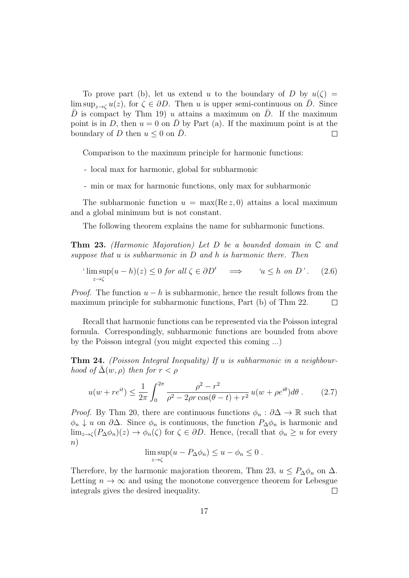To prove part (b), let us extend u to the boundary of D by  $u(\zeta) =$  $\limsup_{z\to\infty} u(z)$ , for  $\zeta \in \partial D$ . Then u is upper semi-continuous on D. Since D is compact by Thm 19) u attains a maximum on D. If the maximum point is in D, then  $u = 0$  on  $\overline{D}$  by Part (a). If the maximum point is at the boundary of D then  $u \leq 0$  on  $\overline{D}$ .  $\Box$ 

Comparison to the maximum principle for harmonic functions:

- local max for harmonic, global for subharmonic
- min or max for harmonic functions, only max for subharmonic

The subharmonic function  $u = \max(\text{Re } z, 0)$  attains a local maximum and a global minimum but is not constant.

The following theorem explains the name for subharmonic functions.

**Thm 23.** (Harmonic Majoration) Let D be a bounded domain in  $\mathbb C$  and suppose that  $u$  is subharmonic in  $D$  and  $h$  is harmonic there. Then

$$
\limsup_{z \to \zeta} (u - h)(z) \le 0 \text{ for all } \zeta \in \partial D' \implies \quad u \le h \text{ on } D'. \tag{2.6}
$$

*Proof.* The function  $u - h$  is subharmonic, hence the result follows from the maximum principle for subharmonic functions, Part (b) of Thm 22.  $\Box$ 

Recall that harmonic functions can be represented via the Poisson integral formula. Correspondingly, subharmonic functions are bounded from above by the Poisson integral (you might expected this coming ...)

**Thm 24.** (Poisson Integral Inequality) If u is subharmonic in a neighbourhood of  $\Delta(w, \rho)$  then for  $r < \rho$ 

$$
u(w + re^{it}) \le \frac{1}{2\pi} \int_0^{2\pi} \frac{\rho^2 - r^2}{\rho^2 - 2\rho r \cos(\theta - t) + r^2} u(w + \rho e^{i\theta}) d\theta. \tag{2.7}
$$

*Proof.* By Thm 20, there are continuous functions  $\phi_n : \partial \Delta \to \mathbb{R}$  such that  $\phi_n \downarrow u$  on  $\partial \Delta$ . Since  $\phi_n$  is continuous, the function  $P_{\Delta} \phi_n$  is harmonic and  $\lim_{z\to\zeta} (P_{\Delta}\phi_n)(z)\to\phi_n(\zeta)$  for  $\zeta\in\partial D$ . Hence, (recall that  $\phi_n\geq u$  for every n)

$$
\limsup_{z \to \zeta} (u - P_{\Delta} \phi_n) \le u - \phi_n \le 0.
$$

Therefore, by the harmonic majoration theorem, Thm 23,  $u \leq P_{\Delta} \phi_n$  on  $\Delta$ . Letting  $n \to \infty$  and using the monotone convergence theorem for Lebesgue integrals gives the desired inequality.  $\Box$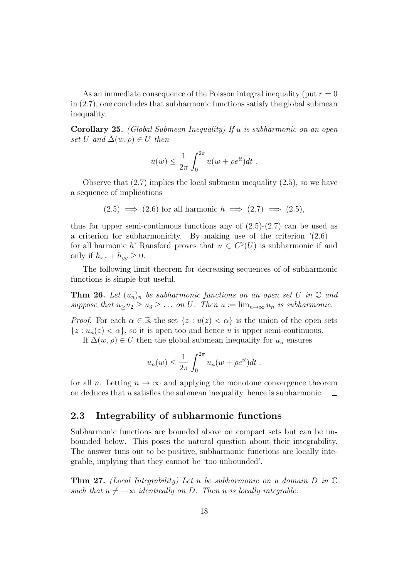As an immediate consequence of the Poisson integral inequality (put  $r = 0$ ) in (2.7), one concludes that subharmonic functions satisfy the global submean inequality.

Corollary 25. (Global Submean Inequality) If u is subharmonic on an open set U and  $\overline{\Delta}(w, \rho) \in U$  then

$$
u(w) \leq \frac{1}{2\pi} \int_0^{2\pi} u(w + \rho e^{it}) dt.
$$

Observe that (2.7) implies the local submean inequality (2.5), so we have a sequence of implications

$$
(2.5)
$$
  $\implies$   $(2.6)$  for all harmonic  $h \implies (2.7) \implies (2.5)$ ,

thus for upper semi-continuous functions any of  $(2.5)-(2.7)$  can be used as a criterion for subharmonicity. By making use of the criterion  $(2.6)$ for all harmonic h' Ransford proves that  $u \in C^2(U)$  is subharmonic if and only if  $h_{xx} + h_{yy} \geq 0$ .

The following limit theorem for decreasing sequences of of subharmonic functions is simple but useful.

**Thm 26.** Let  $(u_n)_n$  be subharmonic functions on an open set U in  $\mathbb C$  and suppose that  $u_2u_2 \geq u_3 \geq \ldots$  on U. Then  $u := \lim_{n \to \infty} u_n$  is subharmonic.

*Proof.* For each  $\alpha \in \mathbb{R}$  the set  $\{z : u(z) < \alpha\}$  is the union of the open sets  $\{z: u_n(z) < \alpha\}$ , so it is open too and hence u is upper semi-continuous.

If  $\Delta(w, \rho) \in U$  then the global submean inequality for  $u_n$  ensures

$$
u_n(w) \leq \frac{1}{2\pi} \int_0^{2\pi} u_n(w + \rho e^{it}) dt.
$$

for all *n*. Letting  $n \to \infty$  and applying the monotone convergence theorem on deduces that u satisfies the submean inequality, hence is subharmonic.  $\Box$ 

### 2.3 Integrability of subharmonic functions

Subharmonic functions are bounded above on compact sets but can be unbounded below. This poses the natural question about their integrability. The answer tuns out to be positive, subharmonic functions are locally integrable, implying that they cannot be 'too unbounded'.

**Thm 27.** (Local Integrability) Let u be subharmonic on a domain  $D$  in  $\mathbb C$ such that  $u \neq -\infty$  identically on D. Then u is locally integrable.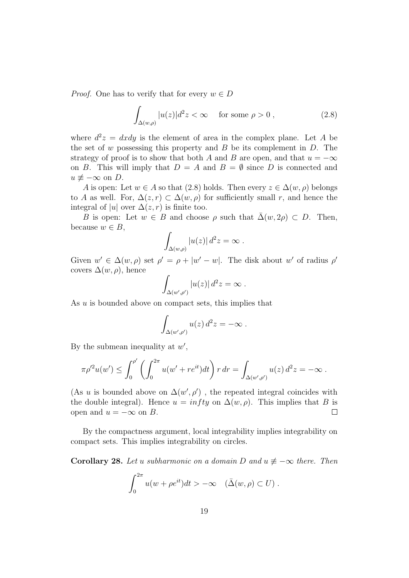*Proof.* One has to verify that for every  $w \in D$ 

$$
\int_{\Delta(w,\rho)} |u(z)|d^2z < \infty \quad \text{ for some } \rho > 0 ,
$$
\n(2.8)

where  $d^2z = dxdy$  is the element of area in the complex plane. Let A be the set of w possessing this property and  $B$  be its complement in  $D$ . The strategy of proof is to show that both A and B are open, and that  $u = -\infty$ on B. This will imply that  $D = A$  and  $B = \emptyset$  since D is connected and  $u \neq -\infty$  on D.

A is open: Let  $w \in A$  so that (2.8) holds. Then every  $z \in \Delta(w, \rho)$  belongs to A as well. For,  $\Delta(z, r) \subset \Delta(w, \rho)$  for sufficiently small r, and hence the integral of |u| over  $\Delta(z, r)$  is finite too.

B is open: Let  $w \in B$  and choose  $\rho$  such that  $\overline{\Delta}(w, 2\rho) \subset D$ . Then, because  $w \in B$ ,

$$
\int_{\Delta(w,\rho)} |u(z)| d^2 z = \infty.
$$

Given  $w' \in \Delta(w, \rho)$  set  $\rho' = \rho + |w' - w|$ . The disk about w' of radius  $\rho'$ covers  $\Delta(w,\rho)$ , hence

$$
\int_{\Delta(w',\rho')} |u(z)| d^2 z = \infty .
$$

As  $u$  is bounded above on compact sets, this implies that

$$
\int_{\Delta(w',\rho')} u(z) d^2 z = -\infty.
$$

By the submean inequality at  $w'$ ,

$$
\pi \rho'^2 u(w') \leq \int_0^{\rho'} \left( \int_0^{2\pi} u(w' + re^{it}) dt \right) r dr = \int_{\Delta(w',\rho')} u(z) d^2 z = -\infty.
$$

(As u is bounded above on  $\Delta(w', \rho')$ , the repeated integral coincides with the double integral). Hence  $u = infty$  on  $\Delta(w, \rho)$ . This implies that B is open and  $u = -\infty$  on B.  $\Box$ 

By the compactness argument, local integrability implies integrability on compact sets. This implies integrability on circles.

**Corollary 28.** Let u subharmonic on a domain D and  $u \neq -\infty$  there. Then

$$
\int_0^{2\pi} u(w + \rho e^{it}) dt > -\infty \quad (\bar{\Delta}(w, \rho) \subset U) .
$$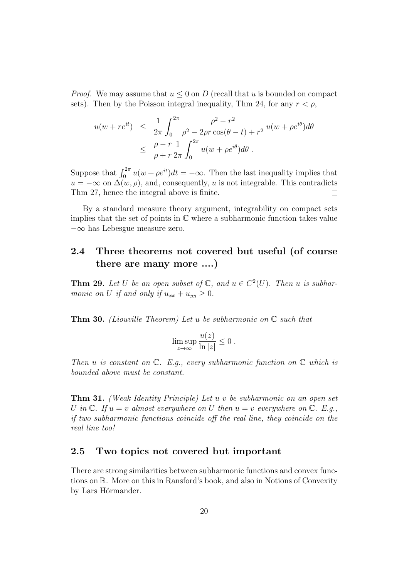*Proof.* We may assume that  $u \leq 0$  on D (recall that u is bounded on compact sets). Then by the Poisson integral inequality, Thm 24, for any  $r < \rho$ ,

$$
u(w + re^{it}) \leq \frac{1}{2\pi} \int_0^{2\pi} \frac{\rho^2 - r^2}{\rho^2 - 2\rho r \cos(\theta - t) + r^2} u(w + \rho e^{i\theta}) d\theta
$$
  
 
$$
\leq \frac{\rho - r}{\rho + r} \frac{1}{2\pi} \int_0^{2\pi} u(w + \rho e^{i\theta}) d\theta.
$$

Suppose that  $\int_0^{2\pi} u(w + \rho e^{it}) dt = -\infty$ . Then the last inequality implies that  $u = -\infty$  on  $\Delta(w, \rho)$ , and, consequently, u is not integrable. This contradicts Thm 27, hence the integral above is finite.  $\Box$ 

By a standard measure theory argument, integrability on compact sets implies that the set of points in  $\mathbb C$  where a subharmonic function takes value −∞ has Lebesgue measure zero.

### 2.4 Three theorems not covered but useful (of course there are many more ....)

**Thm 29.** Let U be an open subset of  $\mathbb{C}$ , and  $u \in C^2(U)$ . Then u is subharmonic on U if and only if  $u_{xx} + u_{yy} \geq 0$ .

**Thm 30.** (Liouville Theorem) Let u be subharmonic on  $\mathbb{C}$  such that

$$
\limsup_{z \to \infty} \frac{u(z)}{\ln|z|} \le 0.
$$

Then u is constant on  $\mathbb C$ . E.g., every subharmonic function on  $\mathbb C$  which is bounded above must be constant.

Thm 31. (Weak Identity Principle) Let u v be subharmonic on an open set U in  $\mathbb C$ . If  $u = v$  almost everywhere on U then  $u = v$  everywhere on  $\mathbb C$ . E.g., if two subharmonic functions coincide off the real line, they coincide on the real line too!

### 2.5 Two topics not covered but important

There are strong similarities between subharmonic functions and convex functions on R. More on this in Ransford's book, and also in Notions of Convexity by Lars Hörmander.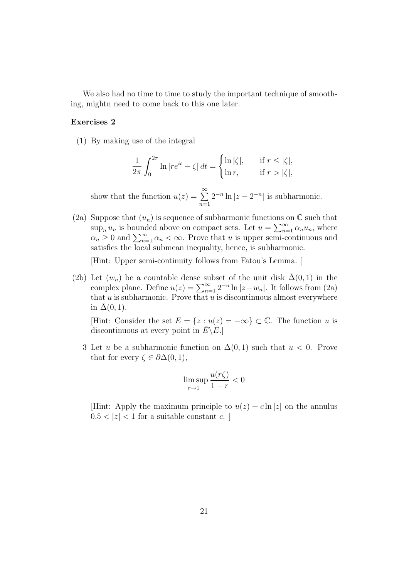We also had no time to time to study the important technique of smoothing, mightn need to come back to this one later.

#### Exercises 2

(1) By making use of the integral

$$
\frac{1}{2\pi} \int_0^{2\pi} \ln |re^{it} - \zeta| dt = \begin{cases} \ln |\zeta|, & \text{if } r \le |\zeta|, \\ \ln r, & \text{if } r > |\zeta|, \end{cases}
$$

show that the function  $u(z) = \sum_{n=0}^{\infty}$  $n=1$  $2^{-n} \ln |z - 2^{-n}|$  is subharmonic.

(2a) Suppose that  $(u_n)$  is sequence of subharmonic functions on  $\mathbb C$  such that  $\sup_n u_n$  is bounded above on compact sets. Let  $u = \sum_{n=1}^{\infty} \alpha_n u_n$ , where  $\alpha_n \geq 0$  and  $\sum_{n=1}^{\infty} \alpha_n < \infty$ . Prove that u is upper semi-continuous and satisfies the local submean inequality, hence, is subharmonic.

[Hint: Upper semi-continuity follows from Fatou's Lemma. ]

(2b) Let  $(w_n)$  be a countable dense subset of the unit disk  $\Delta(0,1)$  in the complex plane. Define  $u(z) = \sum_{n=1}^{\infty} 2^{-n} \ln |z - w_n|$ . It follows from (2a) that  $u$  is subharmonic. Prove that  $u$  is discontinuous almost everywhere in  $\bar{\Delta}(0, 1)$ .

[Hint: Consider the set  $E = \{z : u(z) = -\infty\} \subset \mathbb{C}$ . The function u is discontinuous at every point in  $\overline{E} \backslash E$ .

3 Let u be a subharmonic function on  $\Delta(0,1)$  such that  $u < 0$ . Prove that for every  $\zeta \in \partial \Delta(0,1)$ ,

$$
\limsup_{r \to 1^-} \frac{u(r\zeta)}{1-r} < 0
$$

[Hint: Apply the maximum principle to  $u(z) + c \ln |z|$  on the annulus  $0.5 < |z| < 1$  for a suitable constant c.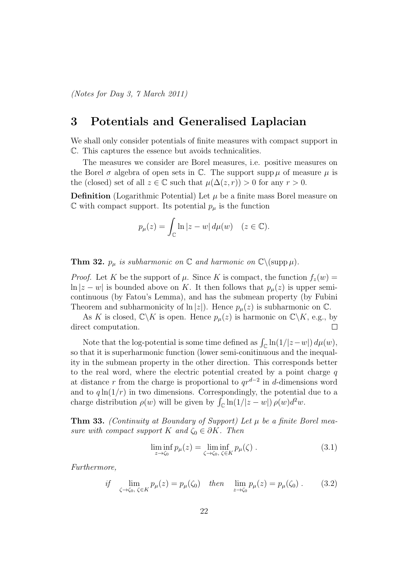## 3 Potentials and Generalised Laplacian

We shall only consider potentials of finite measures with compact support in C. This captures the essence but avoids technicalities.

The measures we consider are Borel measures, i.e. positive measures on the Borel  $\sigma$  algebra of open sets in  $\mathbb{C}$ . The support supp  $\mu$  of measure  $\mu$  is the (closed) set of all  $z \in \mathbb{C}$  such that  $\mu(\Delta(z, r)) > 0$  for any  $r > 0$ .

**Definition** (Logarithmic Potential) Let  $\mu$  be a finite mass Borel measure on  $\mathbb C$  with compact support. Its potential  $p_\mu$  is the function

$$
p_{\mu}(z) = \int_{\mathbb{C}} \ln |z - w| \, d\mu(w) \quad (z \in \mathbb{C}).
$$

**Thm 32.**  $p_{\mu}$  is subharmonic on  $\mathbb{C}$  and harmonic on  $\mathbb{C}\backslash({\rm supp}\,\mu)$ .

*Proof.* Let K be the support of  $\mu$ . Since K is compact, the function  $f_z(w)$  =  $\ln |z - w|$  is bounded above on K. It then follows that  $p_{\mu}(z)$  is upper semicontinuous (by Fatou's Lemma), and has the submean property (by Fubini Theorem and subharmonicity of  $\ln |z|$ . Hence  $p_{\mu}(z)$  is subharmonic on  $\mathbb{C}$ .

As K is closed,  $\mathbb{C}\backslash K$  is open. Hence  $p_{\mu}(z)$  is harmonic on  $\mathbb{C}\backslash K$ , e.g., by  $\Box$ direct computation.

Note that the log-potential is some time defined as  $\int_{\mathbb{C}} \ln(1/|z-w|) d\mu(w)$ , so that it is superharmonic function (lower semi-conitinuous and the inequality in the submean property in the other direction. This corresponds better to the real word, where the electric potential created by a point charge  $q$ at distance r from the charge is proportional to  $qr^{d-2}$  in d-dimensions word and to  $q \ln(1/r)$  in two dimensions. Correspondingly, the potential due to a charge distribution  $\rho(w)$  will be given by  $\int_{\mathbb{C}} \ln(1/|z-w|) \rho(w) d^2w$ .

**Thm 33.** (Continuity at Boundary of Support) Let  $\mu$  be a finite Borel measure with compact support K and  $\zeta_0 \in \partial K$ . Then

$$
\liminf_{z \to \zeta_0} p_\mu(z) = \liminf_{\zeta \to \zeta_0, \ \zeta \in K} p_\mu(\zeta) . \tag{3.1}
$$

Furthermore,

if 
$$
\lim_{\zeta \to \zeta_0, \zeta \in K} p_\mu(z) = p_\mu(\zeta_0)
$$
 then  $\lim_{z \to \zeta_0} p_\mu(z) = p_\mu(\zeta_0)$ . (3.2)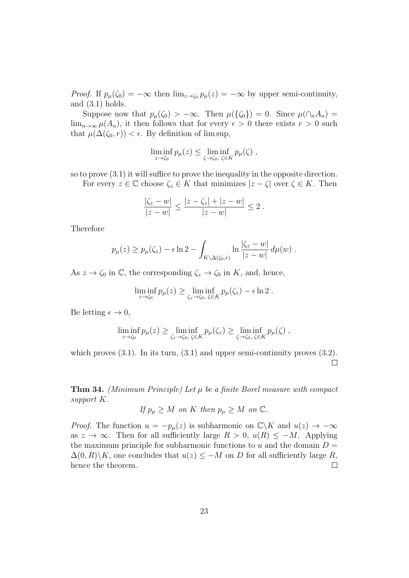*Proof.* If  $p_\mu(\zeta_0) = -\infty$  then  $\lim_{z\to\zeta_0} p_\mu(z) = -\infty$  by upper semi-continuity, and  $(3.1)$  holds.

Suppose now that  $p_\mu(\zeta_0) > -\infty$ . Then  $\mu(\{\zeta_0\}) = 0$ . Since  $\mu(\cap_n A_n) =$  $\lim_{n\to\infty}\mu(A_n)$ , it then follows that for every  $\epsilon > 0$  there exists  $r > 0$  such that  $\mu(\Delta(\zeta_0, r)) < \epsilon$ . By definition of lim sup,

$$
\liminf_{z \to \zeta_0} p_\mu(z) \le \liminf_{\zeta \to \zeta_0, \ \zeta \in K} p_\mu(\zeta) ,
$$

so to prove (3.1) it will suffice to prove the inequality in the opposite direction.

For every  $z \in \mathbb{C}$  choose  $\zeta_z \in K$  that minimizes  $|z - \zeta|$  over  $\zeta \in K$ . Then

$$
\frac{|\zeta_z - w|}{|z - w|} \le \frac{|z - \zeta_z| + |z - w|}{|z - w|} \le 2.
$$

Therefore

$$
p_{\mu}(z) \ge p_{\mu}(\zeta_z) - \epsilon \ln 2 - \int_{K \setminus \Delta(\zeta_0, r)} \ln \frac{|\zeta_z - w|}{|z - w|} d\mu(w) .
$$

As  $z \to \zeta_0$  in  $\mathbb{C}$ , the corresponding  $\zeta_z \to \zeta_0$  in K, and, hence,

$$
\liminf_{z \to \zeta_0} p_\mu(z) \ge \liminf_{\zeta_z \to \zeta_0, \ \zeta \in K} p_\mu(\zeta_z) - \epsilon \ln 2.
$$

Be letting  $\epsilon \to 0$ ,

$$
\liminf_{z \to \zeta_0} p_\mu(z) \ge \liminf_{\zeta_z \to \zeta_0, \ \zeta \in K} p_\mu(\zeta_z) \ge \liminf_{\zeta \to \zeta_0, \ \zeta \in K} p_\mu(\zeta) ,
$$

which proves  $(3.1)$ . In its turn,  $(3.1)$  and upper semi-continuity proves  $(3.2)$ .  $\Box$ 

**Thm 34.** (Minimum Principle) Let  $\mu$  be a finite Borel measure with compact support K.

If 
$$
p_{\mu} \geq M
$$
 on K then  $p_{\mu} \geq M$  on C.

*Proof.* The function  $u = -p_{\mu}(z)$  is subharmonic on  $\mathbb{C}\backslash K$  and  $u(z) \to -\infty$ as  $z \to \infty$ . Then for all sufficiently large  $R > 0$ ,  $u(R) \leq -M$ . Applying the maximum principle for subharmonic functions to u and the domain  $D =$  $\Delta(0,R)\backslash K$ , one concludes that  $u(z) \leq -M$  on D for all sufficiently large R,  $\Box$ hence the theorem.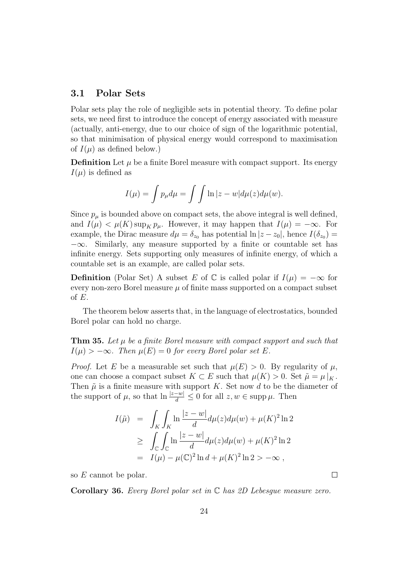#### 3.1 Polar Sets

Polar sets play the role of negligible sets in potential theory. To define polar sets, we need first to introduce the concept of energy associated with measure (actually, anti-energy, due to our choice of sign of the logarithmic potential, so that minimisation of physical energy would correspond to maximisation of  $I(\mu)$  as defined below.)

**Definition** Let  $\mu$  be a finite Borel measure with compact support. Its energy  $I(\mu)$  is defined as

$$
I(\mu) = \int p_{\mu} d\mu = \int \int \ln |z - w| d\mu(z) d\mu(w).
$$

Since  $p_{\mu}$  is bounded above on compact sets, the above integral is well defined, and  $I(\mu) < \mu(K) \sup_K p_\mu$ . However, it may happen that  $I(\mu) = -\infty$ . For example, the Dirac measure  $d\mu = \delta_{z_0}$  has potential  $\ln |z - z_0|$ , hence  $I(\delta_{z_0}) =$  $-\infty$ . Similarly, any measure supported by a finite or countable set has infinite energy. Sets supporting only measures of infinite energy, of which a countable set is an example, are called polar sets.

**Definition** (Polar Set) A subset E of  $\mathbb C$  is called polar if  $I(\mu) = -\infty$  for every non-zero Borel measure  $\mu$  of finite mass supported on a compact subset of E.

The theorem below asserts that, in the language of electrostatics, bounded Borel polar can hold no charge.

**Thm 35.** Let  $\mu$  be a finite Borel measure with compact support and such that  $I(\mu) > -\infty$ . Then  $\mu(E) = 0$  for every Borel polar set E.

*Proof.* Let E be a measurable set such that  $\mu(E) > 0$ . By regularity of  $\mu$ , one can choose a compact subset  $K \subset E$  such that  $\mu(K) > 0$ . Set  $\tilde{\mu} = \mu|_K$ . Then  $\tilde{\mu}$  is a finite measure with support K. Set now d to be the diameter of the support of  $\mu$ , so that  $\ln \frac{|z-w|}{d} \leq 0$  for all  $z, w \in \text{supp }\mu$ . Then

$$
I(\tilde{\mu}) = \int_{K} \int_{K} \ln \frac{|z - w|}{d} d\mu(z) d\mu(w) + \mu(K)^{2} \ln 2
$$
  
\n
$$
\geq \int_{\mathbb{C}} \int_{\mathbb{C}} \ln \frac{|z - w|}{d} d\mu(z) d\mu(w) + \mu(K)^{2} \ln 2
$$
  
\n
$$
= I(\mu) - \mu(\mathbb{C})^{2} \ln d + \mu(K)^{2} \ln 2 > -\infty ,
$$

so E cannot be polar.

**Corollary 36.** Every Borel polar set in  $\mathbb C$  has 2D Lebesgue measure zero.

 $\Box$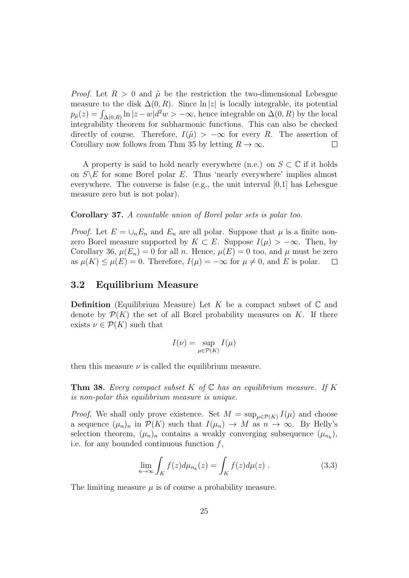*Proof.* Let  $R > 0$  and  $\tilde{\mu}$  be the restriction the two-dimensional Lebesgue measure to the disk  $\Delta(0, R)$ . Since  $\ln |z|$  is locally integrable, its potential  $p_{\tilde{\mu}}(z) = \int_{\Delta(0,R)} \ln |z-w| d^2 w > -\infty$ , hence integrable on  $\Delta(0,R)$  by the local integrability theorem for subharmonic functions. This can also be checked directly of course. Therefore,  $I(\tilde{\mu}) > -\infty$  for every R. The assertion of Corollary now follows from Thm 35 by letting  $R \to \infty$ .  $\Box$ 

A property is said to hold nearly everywhere (n.e.) on  $S \subset \mathbb{C}$  if it holds on  $S \backslash E$  for some Borel polar E. Thus 'nearly everywhere' implies almost everywhere. The converse is false (e.g., the unit interval [0,1] has Lebesgue measure zero but is not polar).

#### Corollary 37. A countable union of Borel polar sets is polar too.

*Proof.* Let  $E = \bigcup_n E_n$  and  $E_n$  are all polar. Suppose that  $\mu$  is a finite nonzero Borel measure supported by  $K \subset E$ . Suppose  $I(\mu) > -\infty$ . Then, by Corollary 36,  $\mu(E_n) = 0$  for all n. Hence,  $\mu(E) = 0$  too, and  $\mu$  must be zero as  $\mu(K) \leq \mu(E) = 0$ . Therefore,  $I(\mu) = -\infty$  for  $\mu \neq 0$ , and E is polar.  $\Box$ 

#### 3.2 Equilibrium Measure

**Definition** (Equilibrium Measure) Let K be a compact subset of  $\mathbb C$  and denote by  $\mathcal{P}(K)$  the set of all Borel probability measures on K. If there exists  $\nu \in \mathcal{P}(K)$  such that

$$
I(\nu) = \sup_{\mu \in \mathcal{P}(K)} I(\mu)
$$

then this measure  $\nu$  is called the equilibrium measure.

**Thm 38.** Every compact subset K of  $\mathbb C$  has an equilibrium measure. If K is non-polar this equilibrium measure is unique.

*Proof.* We shall only prove existence. Set  $M = \sup_{\mu \in \mathcal{P}(K)} I(\mu)$  and choose a sequence  $(\mu_n)_n$  in  $\mathcal{P}(K)$  such that  $I(\mu_n) \to M$  as  $n \to \infty$ . By Helly's selection theorem,  $(\mu_n)_n$  contains a weakly converging subsequence  $(\mu_{n_k})$ , i.e. for any bounded continuous function  $f$ ,

$$
\lim_{n \to \infty} \int_{K} f(z) d\mu_{n_k}(z) = \int_{K} f(z) d\mu(z) . \tag{3.3}
$$

The limiting measure  $\mu$  is of course a probability measure.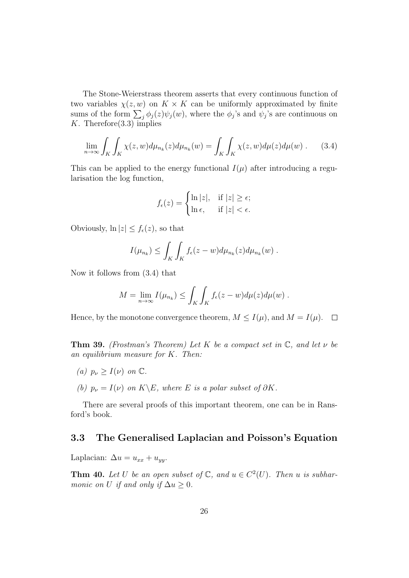The Stone-Weierstrass theorem asserts that every continuous function of two variables  $\chi(z, w)$  on  $K \times K$  can be uniformly approximated by finite sums of the form  $\sum_j \phi_j(z) \psi_j(w)$ , where the  $\phi_j$ 's and  $\psi_j$ 's are continuous on K. Therefore  $(3.3)$  implies

$$
\lim_{n \to \infty} \int_{K} \int_{K} \chi(z, w) d\mu_{n_k}(z) d\mu_{n_k}(w) = \int_{K} \int_{K} \chi(z, w) d\mu(z) d\mu(w) . \tag{3.4}
$$

This can be applied to the energy functional  $I(\mu)$  after introducing a regularisation the log function,

$$
f_{\epsilon}(z) = \begin{cases} \ln |z|, & \text{if } |z| \geq \epsilon; \\ \ln \epsilon, & \text{if } |z| < \epsilon. \end{cases}
$$

Obviously,  $\ln |z| \leq f_{\epsilon}(z)$ , so that

$$
I(\mu_{n_k}) \leq \int_K \int_K f_{\epsilon}(z-w) d\mu_{n_k}(z) d\mu_{n_k}(w) .
$$

Now it follows from (3.4) that

$$
M = \lim_{n \to \infty} I(\mu_{n_k}) \le \int_K \int_K f_{\epsilon}(z - w) d\mu(z) d\mu(w) .
$$

Hence, by the monotone convergence theorem,  $M \leq I(\mu)$ , and  $M = I(\mu)$ .  $\Box$ 

**Thm 39.** (Frostman's Theorem) Let K be a compact set in  $\mathbb{C}$ , and let  $\nu$  be an equilibrium measure for K. Then:

- (a)  $p_{\nu} \geq I(\nu)$  on  $\mathbb{C}$ .
- (b)  $p_{\nu} = I(\nu)$  on  $K\backslash E$ , where E is a polar subset of  $\partial K$ .

There are several proofs of this important theorem, one can be in Ransford's book.

#### 3.3 The Generalised Laplacian and Poisson's Equation

Laplacian:  $\Delta u = u_{xx} + u_{yy}$ .

**Thm 40.** Let U be an open subset of  $\mathbb{C}$ , and  $u \in C^2(U)$ . Then u is subharmonic on U if and only if  $\Delta u \geq 0$ .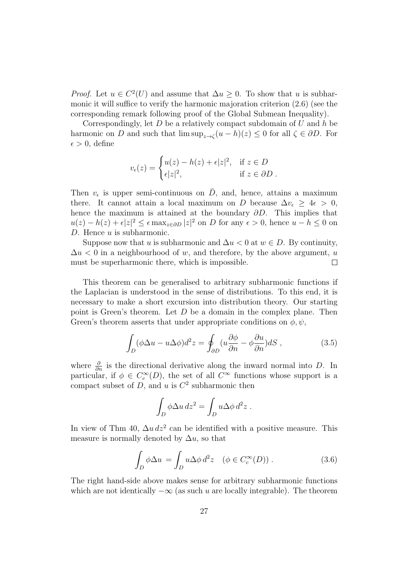*Proof.* Let  $u \in C^2(U)$  and assume that  $\Delta u \geq 0$ . To show that u is subharmonic it will suffice to verify the harmonic majoration criterion (2.6) (see the corresponding remark following proof of the Global Submean Inequality).

Correspondingly, let  $D$  be a relatively compact subdomain of  $U$  and  $h$  be harmonic on D and such that  $\limsup_{z \to \zeta} (u - h)(z) \leq 0$  for all  $\zeta \in \partial D$ . For  $\epsilon > 0$ , define

$$
v_{\epsilon}(z) = \begin{cases} u(z) - h(z) + \epsilon |z|^2, & \text{if } z \in D \\ \epsilon |z|^2, & \text{if } z \in \partial D \end{cases}
$$

Then  $v_{\epsilon}$  is upper semi-continuous on  $\overline{D}$ , and, hence, attains a maximum there. It cannot attain a local maximum on D because  $\Delta v_{\epsilon} \geq 4\epsilon > 0$ , hence the maximum is attained at the boundary  $\partial D$ . This implies that  $u(z) - h(z) + \epsilon |z|^2 \leq \epsilon \max_{z \in \partial D} |z|^2$  on D for any  $\epsilon > 0$ , hence  $u - h \leq 0$  on D. Hence  $u$  is subharmonic.

Suppose now that u is subharmonic and  $\Delta u < 0$  at  $w \in D$ . By continuity,  $\Delta u$  < 0 in a neighbourhood of w, and therefore, by the above argument, u must be superharmonic there, which is impossible.  $\Box$ 

This theorem can be generalised to arbitrary subharmonic functions if the Laplacian is understood in the sense of distributions. To this end, it is necessary to make a short excursion into distribution theory. Our starting point is Green's theorem. Let  $D$  be a domain in the complex plane. Then Green's theorem asserts that under appropriate conditions on  $\phi, \psi$ ,

$$
\int_{D} (\phi \Delta u - u \Delta \phi) d^2 z = \oint_{\partial D} (u \frac{\partial \phi}{\partial n} - \phi \frac{\partial u}{\partial n}) dS , \qquad (3.5)
$$

where  $\frac{\partial}{\partial n}$  is the directional derivative along the inward normal into D. In particular, if  $\phi \in C_c^{\infty}(D)$ , the set of all  $C^{\infty}$  functions whose support is a compact subset of  $D$ , and  $u$  is  $C<sup>2</sup>$  subharmonic then

$$
\int_D \phi \Delta u \, dz^2 = \int_D u \Delta \phi \, d^2 z \; .
$$

In view of Thm 40,  $\Delta u dz^2$  can be identified with a positive measure. This measure is normally denoted by  $\Delta u$ , so that

$$
\int_{D} \phi \Delta u = \int_{D} u \Delta \phi \, d^2 z \quad (\phi \in C_c^{\infty}(D)). \tag{3.6}
$$

The right hand-side above makes sense for arbitrary subharmonic functions which are not identically  $-\infty$  (as such u are locally integrable). The theorem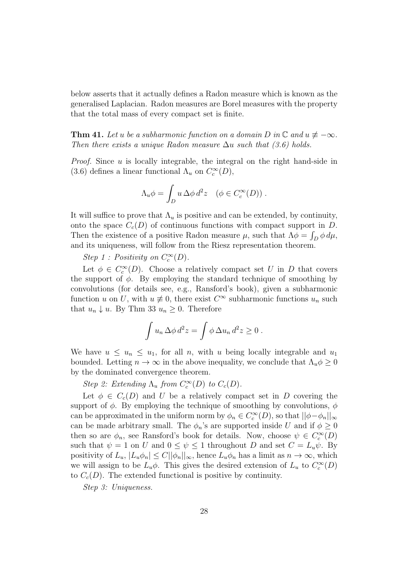below asserts that it actually defines a Radon measure which is known as the generalised Laplacian. Radon measures are Borel measures with the property that the total mass of every compact set is finite.

**Thm 41.** Let u be a subharmonic function on a domain D in  $\mathbb{C}$  and  $u \neq -\infty$ . Then there exists a unique Radon measure  $\Delta u$  such that (3.6) holds.

*Proof.* Since  $u$  is locally integrable, the integral on the right hand-side in (3.6) defines a linear functional  $\Lambda_u$  on  $C_c^{\infty}(D)$ ,

$$
\Lambda_u \phi = \int_D u \, \Delta \phi \, d^2 z \quad (\phi \in C_c^{\infty}(D)) \ .
$$

It will suffice to prove that  $\Lambda_u$  is positive and can be extended, by continuity, onto the space  $C_c(D)$  of continuous functions with compact support in D. Then the existence of a positive Radon measure  $\mu$ , such that  $\Lambda \phi = \int_D \phi \, d\mu$ , and its uniqueness, will follow from the Riesz representation theorem.

Step 1: Positivity on  $C_c^{\infty}(D)$ .

Let  $\phi \in C_c^{\infty}(D)$ . Choose a relatively compact set U in D that covers the support of  $\phi$ . By employing the standard technique of smoothing by convolutions (for details see, e.g., Ransford's book), given a subharmonic function u on U, with  $u \neq 0$ , there exist  $C^{\infty}$  subharmonic functions  $u_n$  such that  $u_n \downarrow u$ . By Thm 33  $u_n \geq 0$ . Therefore

$$
\int u_n \,\Delta \phi \,d^2 z = \int \phi \,\Delta u_n \,d^2 z \ge 0 \;.
$$

We have  $u \leq u_n \leq u_1$ , for all n, with u being locally integrable and  $u_1$ bounded. Letting  $n \to \infty$  in the above inequality, we conclude that  $\Lambda_u \phi \geq 0$ by the dominated convergence theorem.

Step 2: Extending  $\Lambda_u$  from  $C_c^{\infty}(D)$  to  $C_c(D)$ .

Let  $\phi \in C_c(D)$  and U be a relatively compact set in D covering the support of  $\phi$ . By employing the technique of smoothing by convolutions,  $\phi$ can be approximated in the uniform norm by  $\phi_n \in C_c^{\infty}(D)$ , so that  $||\phi - \phi_n||_{\infty}$ can be made arbitrary small. The  $\phi_n$ 's are supported inside U and if  $\phi \geq 0$ then so are  $\phi_n$ , see Ransford's book for details. Now, choose  $\psi \in C_c^{\infty}(D)$ such that  $\psi = 1$  on U and  $0 \leq \psi \leq 1$  throughout D and set  $C = L_u \psi$ . By positivity of  $L_u$ ,  $|L_u\phi_n| \leq C ||\phi_n||_{\infty}$ , hence  $L_u\phi_n$  has a limit as  $n \to \infty$ , which we will assign to be  $L_u\phi$ . This gives the desired extension of  $L_u$  to  $C_c^{\infty}(D)$ to  $C_c(D)$ . The extended functional is positive by continuity.

Step 3: Uniqueness.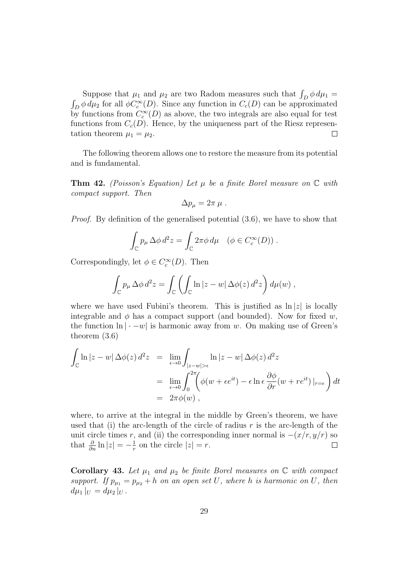Suppose that  $\mu_1$  and  $\mu_2$  are two Radom measures such that  $\int_D \phi \, d\mu_1 =$  $\int_D \phi \, d\mu_2$  for all  $\phi C_c^{\infty}(D)$ . Since any function in  $C_c(D)$  can be approximated by functions from  $C_c^{\infty}(D)$  as above, the two integrals are also equal for test functions from  $C_c(D)$ . Hence, by the uniqueness part of the Riesz representation theorem  $\mu_1 = \mu_2$ .  $\Box$ 

The following theorem allows one to restore the measure from its potential and is fundamental.

**Thm 42.** (Poisson's Equation) Let  $\mu$  be a finite Borel measure on  $\mathbb C$  with compact support. Then

$$
\Delta p_{\mu}=2\pi\,\mu\;.
$$

Proof. By definition of the generalised potential (3.6), we have to show that

$$
\int_{\mathbb{C}} p_{\mu} \Delta \phi \, d^2 z = \int_{\mathbb{C}} 2\pi \phi \, d\mu \quad (\phi \in C_c^{\infty}(D)).
$$

Correspondingly, let  $\phi \in C_c^{\infty}(D)$ . Then

$$
\int_{\mathbb{C}} p_{\mu} \Delta \phi \, d^2 z = \int_{\mathbb{C}} \left( \int_{\mathbb{C}} \ln |z - w| \, \Delta \phi(z) \, d^2 z \right) d\mu(w) ,
$$

where we have used Fubini's theorem. This is justified as  $\ln |z|$  is locally integrable and  $\phi$  has a compact support (and bounded). Now for fixed w, the function  $\ln |\cdot -w|$  is harmonic away from w. On making use of Green's theorem (3.6)

$$
\int_{\mathbb{C}} \ln |z - w| \Delta \phi(z) d^2 z = \lim_{\epsilon \to 0} \int_{|z - w| > \epsilon} \ln |z - w| \Delta \phi(z) d^2 z
$$
  
\n
$$
= \lim_{\epsilon \to 0} \int_0^{2\pi} \left( \phi(w + \epsilon e^{it}) - \epsilon \ln \epsilon \frac{\partial \phi}{\partial r} (w + r e^{it}) \Big|_{r = \epsilon} \right) dt
$$
  
\n
$$
= 2\pi \phi(w),
$$

where, to arrive at the integral in the middle by Green's theorem, we have used that (i) the arc-length of the circle of radius  $r$  is the arc-length of the unit circle times r, and (ii) the corresponding inner normal is  $-(x/r, y/r)$  so that  $\frac{\partial}{\partial n} \ln |z| = -\frac{1}{r}$  $\frac{1}{r}$  on the circle  $|z| = r$ .  $\Box$ 

Corollary 43. Let  $\mu_1$  and  $\mu_2$  be finite Borel measures on  $\mathbb C$  with compact support. If  $p_{\mu_1} = p_{\mu_2} + h$  on an open set U, where h is harmonic on U, then  $d\mu_1|_U = d\mu_2|_U$ .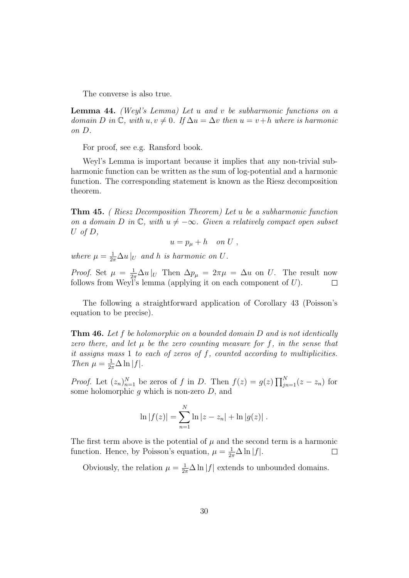The converse is also true.

**Lemma 44.** (Weyl's Lemma) Let  $u$  and  $v$  be subharmonic functions on a domain D in  $\mathbb C$ , with  $u, v \neq 0$ . If  $\Delta u = \Delta v$  then  $u = v+h$  where is harmonic on D.

For proof, see e.g. Ransford book.

Weyl's Lemma is important because it implies that any non-trivial subharmonic function can be written as the sum of log-potential and a harmonic function. The corresponding statement is known as the Riesz decomposition theorem.

Thm 45. ( Riesz Decomposition Theorem) Let u be a subharmonic function on a domain D in  $\mathbb C$ , with  $u \neq -\infty$ . Given a relatively compact open subset U of  $D$ ,

$$
u = p_{\mu} + h \quad on \ U \ ,
$$

where  $\mu = \frac{1}{2\pi} \Delta u |_{U}$  and h is harmonic on U.

*Proof.* Set  $\mu = \frac{1}{2\pi} \Delta u |_{U}$  Then  $\Delta p_{\mu} = 2\pi \mu = \Delta u$  on U. The result now follows from Weyl's lemma (applying it on each component of  $U$ ).  $\Box$ 

The following a straightforward application of Corollary 43 (Poisson's equation to be precise).

**Thm 46.** Let  $f$  be holomorphic on a bounded domain  $D$  and is not identically zero there, and let  $\mu$  be the zero counting measure for f, in the sense that it assigns mass  $1$  to each of zeros of  $f$ , counted according to multiplicities. Then  $\mu = \frac{1}{2\pi} \Delta \ln |f|$ .

*Proof.* Let  $(z_n)_{n=1}^N$  be zeros of f in D. Then  $f(z) = g(z) \prod_{j=1}^N (z - z_n)$  for some holomorphic  $g$  which is non-zero  $D$ , and

$$
\ln |f(z)| = \sum_{n=1}^{N} \ln |z - z_n| + \ln |g(z)|.
$$

The first term above is the potential of  $\mu$  and the second term is a harmonic function. Hence, by Poisson's equation,  $\mu = \frac{1}{2\pi} \Delta \ln |f|$ .  $\Box$ 

Obviously, the relation  $\mu = \frac{1}{2\pi} \Delta \ln |f|$  extends to unbounded domains.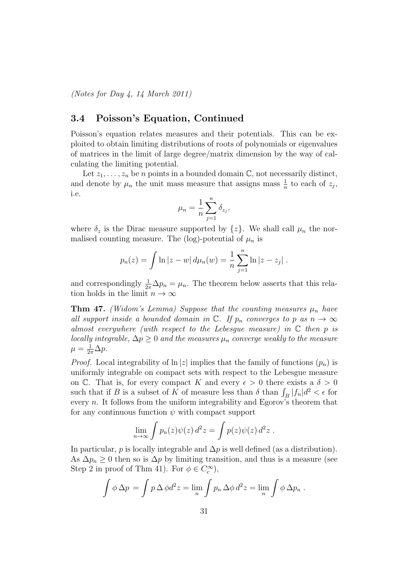(Notes for Day 4, 14 March 2011)

### 3.4 Poisson's Equation, Continued

Poisson's equation relates measures and their potentials. This can be exploited to obtain limiting distributions of roots of polynomials or eigenvalues of matrices in the limit of large degree/matrix dimension by the way of calculating the limiting potential.

Let  $z_1, \ldots, z_n$  be n points in a bounded domain  $\mathbb{C}$ , not necessarily distinct, and denote by  $\mu_n$  the unit mass measure that assigns mass  $\frac{1}{n}$  to each of  $z_j$ , i.e.

$$
\mu_n = \frac{1}{n} \sum_{j=1}^n \delta_{z_j},
$$

where  $\delta_z$  is the Dirac measure supported by  $\{z\}$ . We shall call  $\mu_n$  the normalised counting measure. The (log)-potential of  $\mu_n$  is

$$
p_n(z) = \int \ln |z - w| \, d\mu_n(w) = \frac{1}{n} \sum_{j=1}^n \ln |z - z_j| \, .
$$

and correspondingly  $\frac{1}{2\pi}\Delta p_n = \mu_n$ . The theorem below asserts that this relation holds in the limit  $n \to \infty$ 

**Thm 47.** (Widom's Lemma) Suppose that the counting measures  $\mu_n$  have all support inside a bounded domain in  $\mathbb{C}$ . If  $p_n$  converges to p as  $n \to \infty$ almost everywhere (with respect to the Lebesgue measure) in  $\mathbb C$  then p is locally integrable,  $\Delta p \geq 0$  and the measures  $\mu_n$  converge weakly to the measure  $\mu = \frac{1}{2\pi} \Delta p.$ 

*Proof.* Local integrability of  $\ln |z|$  implies that the family of functions  $(p_n)$  is uniformly integrable on compact sets with respect to the Lebesgue measure on C. That is, for every compact K and every  $\epsilon > 0$  there exists a  $\delta > 0$ such that if B is a subset of K of measure less than  $\delta$  than  $\int_B |f_n|d^2 < \epsilon$  for every n. It follows from the uniform integrability and Egorov's theorem that for any continuous function  $\psi$  with compact support

$$
\lim_{n\to\infty}\int p_n(z)\psi(z)\,d^2z=\int p(z)\psi(z)\,d^2z\;.
$$

In particular, p is locally integrable and  $\Delta p$  is well defined (as a distribution). As  $\Delta p_n \geq 0$  then so is  $\Delta p$  by limiting transition, and thus is a measure (see Step 2 in proof of Thm 41). For  $\phi \in C_c^{\infty}$ ,

$$
\int \phi \,\Delta p = \int p \,\Delta \,\phi d^2 z = \lim_n \int p_n \,\Delta \phi \,d^2 z = \lim_n \int \phi \,\Delta p_n .
$$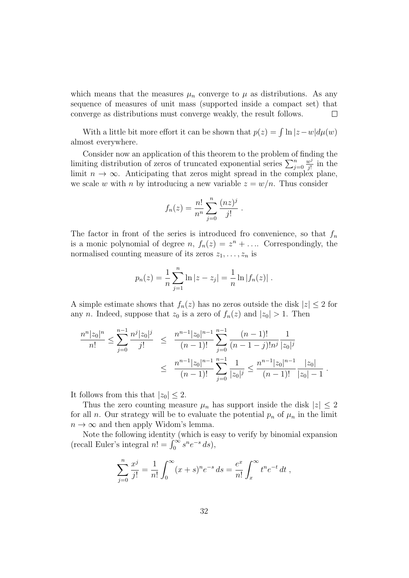which means that the measures  $\mu_n$  converge to  $\mu$  as distributions. As any sequence of measures of unit mass (supported inside a compact set) that converge as distributions must converge weakly, the result follows. П

With a little bit more effort it can be shown that  $p(z) = \int \ln |z - w| d\mu(w)$ almost everywhere.

Consider now an application of this theorem to the problem of finding the limiting distribution of zeros of truncated exponential series  $\sum_{j=0}^{n}$  $w^j$  $\frac{w^j}{j!}$  in the limit  $n \to \infty$ . Anticipating that zeros might spread in the complex plane, we scale w with n by introducing a new variable  $z = w/n$ . Thus consider

$$
f_n(z) = \frac{n!}{n^n} \sum_{j=0}^n \frac{(nz)^j}{j!} .
$$

The factor in front of the series is introduced fro convenience, so that  $f_n$ is a monic polynomial of degree  $n, f_n(z) = z^n + \dots$  Correspondingly, the normalised counting measure of its zeros  $z_1, \ldots, z_n$  is

$$
p_n(z) = \frac{1}{n} \sum_{j=1}^n \ln |z - z_j| = \frac{1}{n} \ln |f_n(z)|.
$$

A simple estimate shows that  $f_n(z)$  has no zeros outside the disk  $|z| \leq 2$  for any n. Indeed, suppose that  $z_0$  is a zero of  $f_n(z)$  and  $|z_0| > 1$ . Then

$$
\frac{n^n |z_0|^n}{n!} \le \sum_{j=0}^{n-1} \frac{n^j |z_0|^j}{j!} \le \frac{n^{n-1} |z_0|^{n-1}}{(n-1)!} \sum_{j=0}^{n-1} \frac{(n-1)!}{(n-1-j)! n^j} \frac{1}{|z_0|^j}
$$

$$
\le \frac{n^{n-1} |z_0|^{n-1}}{(n-1)!} \sum_{j=0}^{n-1} \frac{1}{|z_0|^j} \le \frac{n^{n-1} |z_0|^{n-1}}{(n-1)!} \frac{|z_0|}{|z_0| - 1}.
$$

It follows from this that  $|z_0| \leq 2$ .

Thus the zero counting measure  $\mu_n$  has support inside the disk  $|z| \leq 2$ for all n. Our strategy will be to evaluate the potential  $p_n$  of  $\mu_n$  in the limit  $n \to \infty$  and then apply Widom's lemma.

Note the following identity (which is easy to verify by binomial expansion (recall Euler's integral  $n! = \int_0^\infty s^n e^{-s} ds$ ),

$$
\sum_{j=0}^{n} \frac{x^j}{j!} = \frac{1}{n!} \int_0^{\infty} (x+s)^n e^{-s} ds = \frac{e^x}{n!} \int_x^{\infty} t^n e^{-t} dt,
$$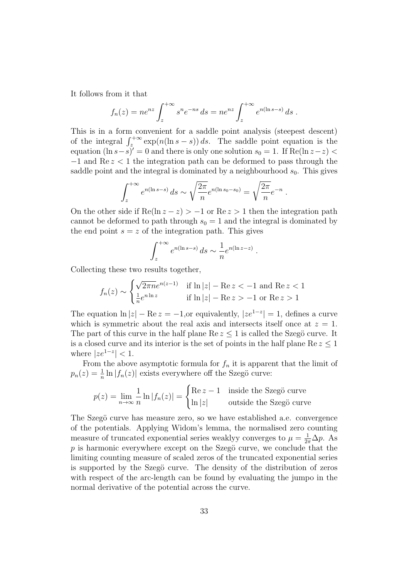It follows from it that

$$
f_n(z) = n e^{nz} \int_z^{+\infty} s^n e^{-ns} ds = n e^{nz} \int_z^{+\infty} e^{n(\ln s - s)} ds.
$$

This is in a form convenient for a saddle point analysis (steepest descent) of the integral  $\int_{z}^{+\infty} \exp(n(\ln s - s)) ds$ . The saddle point equation is the equation  $(\ln s - s)' = 0$  and there is only one solution  $s_0 = 1$ . If Re(ln z - z) < −1 and Re z < 1 the integration path can be deformed to pass through the saddle point and the integral is dominated by a neighbourhood  $s_0$ . This gives

$$
\int_{z}^{+\infty} e^{n(\ln s - s)} ds \sim \sqrt{\frac{2\pi}{n}} e^{n(\ln s_0 - s_0)} = \sqrt{\frac{2\pi}{n}} e^{-n}
$$

.

On the other side if  $\text{Re}(\ln z - z) > -1$  or  $\text{Re} z > 1$  then the integration path cannot be deformed to path through  $s_0 = 1$  and the integral is dominated by the end point  $s = z$  of the integration path. This gives

$$
\int_{z}^{+\infty} e^{n(\ln s - s)} ds \sim \frac{1}{n} e^{n(\ln z - z)}.
$$

Collecting these two results together,

$$
f_n(z) \sim \begin{cases} \sqrt{2\pi n}e^{n(z-1)} & \text{if } \ln|z| - \text{Re } z < -1 \text{ and } \text{Re } z < 1\\ \frac{1}{n}e^{n\ln z} & \text{if } \ln|z| - \text{Re } z > -1 \text{ or } \text{Re } z > 1 \end{cases}
$$

The equation  $\ln |z| - \text{Re } z = -1$ , or equivalently,  $|ze^{1-z}| = 1$ , defines a curve which is symmetric about the real axis and intersects itself once at  $z = 1$ . The part of this curve in the half plane  $\text{Re } z \leq 1$  is called the Szegö curve. It is a closed curve and its interior is the set of points in the half plane  $\text{Re } z \leq 1$ where  $|ze^{1-z}| < 1$ .

From the above asymptotic formula for  $f_n$  it is apparent that the limit of  $p_n(z) = \frac{1}{n} \ln |f_n(z)|$  exists everywhere off the Szegö curve:

$$
p(z) = \lim_{n \to \infty} \frac{1}{n} \ln |f_n(z)| = \begin{cases} \text{Re } z - 1 & \text{inside the Szegö curve} \\ \ln |z| & \text{outside the Szegö curve} \end{cases}
$$

The Szegö curve has measure zero, so we have established a.e. convergence of the potentials. Applying Widom's lemma, the normalised zero counting measure of truncated exponential series weaklyy converges to  $\mu = \frac{1}{2\pi} \Delta p$ . As  $p$  is harmonic everywhere except on the Szegö curve, we conclude that the limiting counting measure of scaled zeros of the truncated exponential series is supported by the Szegö curve. The density of the distribution of zeros with respect of the arc-length can be found by evaluating the jumpo in the normal derivative of the potential across the curve.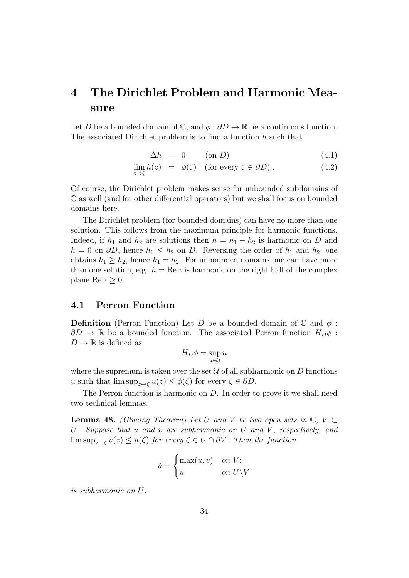# 4 The Dirichlet Problem and Harmonic Measure

Let D be a bounded domain of  $\mathbb{C}$ , and  $\phi : \partial D \to \mathbb{R}$  be a continuous function. The associated Dirichlet problem is to find a function h such that

$$
\Delta h = 0 \qquad \text{(on } D\text{)} \tag{4.1}
$$

$$
\lim_{z \to \zeta} h(z) = \phi(\zeta) \quad \text{(for every } \zeta \in \partial D) \,. \tag{4.2}
$$

Of course, the Dirichlet problem makes sense for unbounded subdomains of C as well (and for other differential operators) but we shall focus on bounded domains here.

The Dirichlet problem (for bounded domains) can have no more than one solution. This follows from the maximum principle for harmonic functions. Indeed, if  $h_1$  and  $h_2$  are solutions then  $h = h_1 - h_2$  is harmonic on D and  $h = 0$  on  $\partial D$ , hence  $h_1 \leq h_2$  on D. Reversing the order of  $h_1$  and  $h_2$ , one obtains  $h_1 \geq h_2$ , hence  $h_1 = h_2$ . For unbounded domains one can have more than one solution, e.g.  $h = \text{Re } z$  is harmonic on the right half of the complex plane Re  $z \geq 0$ .

### 4.1 Perron Function

**Definition** (Perron Function) Let D be a bounded domain of  $\mathbb{C}$  and  $\phi$ :  $\partial D \to \mathbb{R}$  be a bounded function. The associated Perron function  $H_D \phi$ :  $D \to \mathbb{R}$  is defined as

$$
H_D \phi = \sup_{u \in \mathcal{U}} u
$$

where the supremum is taken over the set  $U$  of all subharmonic on D functions u such that  $\limsup_{z\to\zeta}u(z)\leq\phi(\zeta)$  for every  $\zeta\in\partial D$ .

The Perron function is harmonic on D. In order to prove it we shall need two technical lemmas.

**Lemma 48.** (Glueing Theorem) Let U and V be two open sets in  $\mathbb{C}, V \subset$ U. Suppose that  $u$  and  $v$  are subharmonic on  $U$  and  $V$ , respectively, and  $\limsup_{z\to\zeta} v(z) \leq u(\zeta)$  for every  $\zeta \in U \cap \partial V$ . Then the function

$$
\tilde{u} = \begin{cases} \max(u, v) & \text{on } V; \\ u & \text{on } U \backslash V \end{cases}
$$

is subharmonic on U.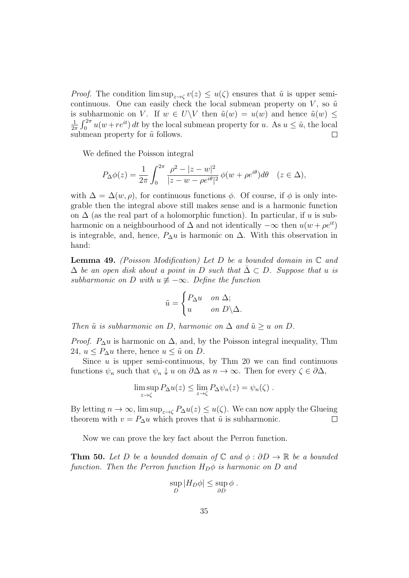*Proof.* The condition  $\limsup_{z\to\zeta} v(z) \leq u(\zeta)$  ensures that  $\tilde{u}$  is upper semicontinuous. One can easily check the local submean property on V, so  $\tilde{u}$ is subharmonic on V. If  $w \in U \backslash V$  then  $\tilde{u}(w) = u(w)$  and hence  $\tilde{u}(w) \leq$ 1  $\frac{1}{2\pi} \int_0^{2\pi} u(w + re^{it}) dt$  by the local submean property for u. As  $u \leq \tilde{u}$ , the local submean property for  $\tilde{u}$  follows.

We defined the Poisson integral

$$
P_{\Delta}\phi(z) = \frac{1}{2\pi} \int_0^{2\pi} \frac{\rho^2 - |z - w|^2}{|z - w - \rho e^{i\theta}|^2} \phi(w + \rho e^{i\theta}) d\theta \quad (z \in \Delta),
$$

with  $\Delta = \Delta(w, \rho)$ , for continuous functions  $\phi$ . Of course, if  $\phi$  is only integrable then the integral above still makes sense and is a harmonic function on  $\Delta$  (as the real part of a holomorphic function). In particular, if u is subharmonic on a neighbourhood of  $\Delta$  and not identically  $-\infty$  then  $u(w + \rho e^{it})$ is integrable, and, hence,  $P_{\Delta}u$  is harmonic on  $\Delta$ . With this observation in hand:

**Lemma 49.** (Poisson Modification) Let D be a bounded domain in  $\mathbb C$  and  $\Delta$  be an open disk about a point in D such that  $\Delta \subset D$ . Suppose that u is subharmonic on D with  $u \neq -\infty$ . Define the function

$$
\tilde{u} = \begin{cases} P_{\Delta}u & \text{on } \Delta; \\ u & \text{on } D \backslash \Delta. \end{cases}
$$

Then  $\tilde{u}$  is subharmonic on D, harmonic on  $\Delta$  and  $\tilde{u} > u$  on D.

*Proof.*  $P_{\Delta}u$  is harmonic on  $\Delta$ , and, by the Poisson integral inequality, Thm 24,  $u \leq P_{\Delta}u$  there, hence  $u \leq \tilde{u}$  on D.

Since  $u$  is upper semi-continuous, by Thm 20 we can find continuous functions  $\psi_n$  such that  $\psi_n \downarrow u$  on  $\partial \Delta$  as  $n \to \infty$ . Then for every  $\zeta \in \partial \Delta$ ,

$$
\limsup_{z \to \zeta} P_{\Delta} u(z) \leq \lim_{z \to \zeta} P_{\Delta} \psi_n(z) = \psi_n(\zeta) .
$$

By letting  $n \to \infty$ , lim sup<sub> $z \to \zeta$ </sub>  $P_{\Delta}u(z) \leq u(\zeta)$ . We can now apply the Glueing theorem with  $v = P_{\Delta}u$  which proves that  $\tilde{u}$  is subharmonic.  $\Box$ 

Now we can prove the key fact about the Perron function.

**Thm 50.** Let D be a bounded domain of  $\mathbb C$  and  $\phi : \partial D \to \mathbb R$  be a bounded function. Then the Perron function  $H_D\phi$  is harmonic on D and

$$
\sup_D |H_D\phi| \leq \sup_{\partial D} \phi.
$$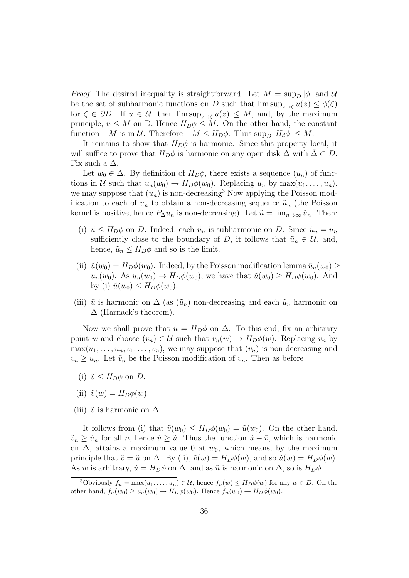*Proof.* The desired inequality is straightforward. Let  $M = \sup_D |\phi|$  and U be the set of subharmonic functions on D such that  $\limsup_{z\to\zeta}u(z)\leq\phi(\zeta)$ for  $\zeta \in \partial D$ . If  $u \in \mathcal{U}$ , then  $\limsup_{z \to \zeta} u(z) \leq M$ , and, by the maximum principle,  $u \leq M$  on D. Hence  $H_D \phi \leq M$ . On the other hand, the constant function  $-M$  is in  $\mathcal U$ . Therefore  $-M \leq H_D\phi$ . Thus  $\sup_D |H_d\phi| \leq M$ .

It remains to show that  $H_D \phi$  is harmonic. Since this property local, it will suffice to prove that  $H_D\phi$  is harmonic on any open disk  $\Delta$  with  $\overline{\Delta} \subset D$ . Fix such a  $\Delta$ .

Let  $w_0 \in \Delta$ . By definition of  $H_D \phi$ , there exists a sequence  $(u_n)$  of functions in U such that  $u_n(w_0) \to H_D \phi(w_0)$ . Replacing  $u_n$  by  $\max(u_1, \ldots, u_n)$ , we may suppose that  $(u_n)$  is non-decreasing<sup>3</sup> Now applying the Poisson modification to each of  $u_n$  to obtain a non-decreasing sequence  $\tilde{u}_n$  (the Poisson kernel is positive, hence  $P_{\Delta}u_n$  is non-decreasing). Let  $\tilde{u} = \lim_{n \to \infty} \tilde{u}_n$ . Then:

- (i)  $\tilde{u} \leq H_D \phi$  on D. Indeed, each  $\tilde{u}_n$  is subharmonic on D. Since  $\tilde{u}_n = u_n$ sufficiently close to the boundary of D, it follows that  $\tilde{u}_n \in \mathcal{U}$ , and, hence,  $\tilde{u}_n \leq H_D \phi$  and so is the limit.
- (ii)  $\tilde{u}(w_0) = H_D \phi(w_0)$ . Indeed, by the Poisson modification lemma  $\tilde{u}_n(w_0) \geq$  $u_n(w_0)$ . As  $u_n(w_0) \to H_D \phi(w_0)$ , we have that  $\tilde{u}(w_0) \geq H_D \phi(w_0)$ . And by (i)  $\tilde{u}(w_0) \leq H_D \phi(w_0)$ .
- (iii)  $\tilde{u}$  is harmonic on  $\Delta$  (as  $(\tilde{u}_n)$  non-decreasing and each  $\tilde{u}_n$  harmonic on  $\Delta$  (Harnack's theorem).

Now we shall prove that  $\tilde{u} = H_D \phi$  on  $\Delta$ . To this end, fix an arbitrary point w and choose  $(v_n) \in \mathcal{U}$  such that  $v_n(w) \to H_D \phi(w)$ . Replacing  $v_n$  by  $\max(u_1, \ldots, u_n, v_1, \ldots, v_n)$ , we may suppose that  $(v_n)$  is non-decreasing and  $v_n \geq u_n$ . Let  $\tilde{v}_n$  be the Poisson modification of  $v_n$ . Then as before

- (i)  $\tilde{v} \leq H_D \phi$  on D.
- (ii)  $\tilde{v}(w) = H_D \phi(w)$ .
- (iii)  $\tilde{v}$  is harmonic on  $\Delta$

It follows from (i) that  $\tilde{v}(w_0) \leq H_D \phi(w_0) = \tilde{u}(w_0)$ . On the other hand,  $\tilde{v}_n \geq \tilde{u}_n$  for all n, hence  $\tilde{v} \geq \tilde{u}$ . Thus the function  $\tilde{u} - \tilde{v}$ , which is harmonic on  $\Delta$ , attains a maximum value 0 at  $w_0$ , which means, by the maximum principle that  $\tilde{v} = \tilde{u}$  on  $\Delta$ . By (ii),  $\tilde{v}(w) = H_D\phi(w)$ , and so  $\tilde{u}(w) = H_D\phi(w)$ . As w is arbitrary,  $\tilde{u} = H_D \phi$  on  $\Delta$ , and as  $\tilde{u}$  is harmonic on  $\Delta$ , so is  $H_D \phi$ .  $\Box$ 

<sup>&</sup>lt;sup>3</sup>Obviously  $f_n = \max(u_1, \ldots, u_n) \in \mathcal{U}$ , hence  $f_n(w) \leq H_D \phi(w)$  for any  $w \in D$ . On the other hand,  $f_n(w_0) \ge u_n(w_0) \to H_D \phi(w_0)$ . Hence  $f_n(w_0) \to H_D \phi(w_0)$ .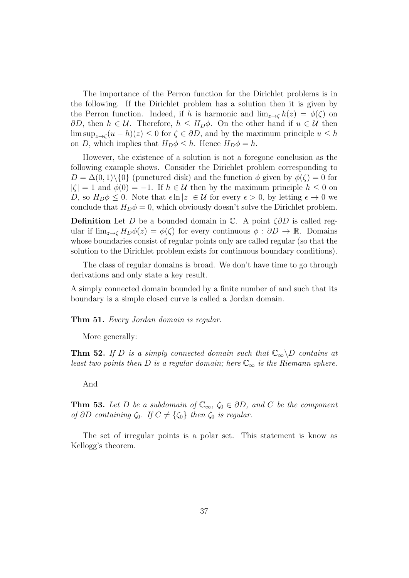The importance of the Perron function for the Dirichlet problems is in the following. If the Dirichlet problem has a solution then it is given by the Perron function. Indeed, if h is harmonic and  $\lim_{z\to\zeta} h(z) = \phi(\zeta)$  on  $\partial D$ , then  $h \in \mathcal{U}$ . Therefore,  $h \leq H_D \phi$ . On the other hand if  $u \in \mathcal{U}$  then  $\limsup_{z \to \zeta} (u - h)(z) \leq 0$  for  $\zeta \in \partial D$ , and by the maximum principle  $u \leq h$ on D, which implies that  $H_D \phi \leq h$ . Hence  $H_D \phi = h$ .

However, the existence of a solution is not a foregone conclusion as the following example shows. Consider the Dirichlet problem corresponding to  $D = \Delta(0, 1) \setminus \{0\}$  (punctured disk) and the function  $\phi$  given by  $\phi(\zeta) = 0$  for  $|\zeta| = 1$  and  $\phi(0) = -1$ . If  $h \in \mathcal{U}$  then by the maximum principle  $h \leq 0$  on D, so  $H_D \phi \leq 0$ . Note that  $\epsilon \ln |z| \in \mathcal{U}$  for every  $\epsilon > 0$ , by letting  $\epsilon \to 0$  we conclude that  $H_D \phi = 0$ , which obviously doesn't solve the Dirichlet problem.

**Definition** Let D be a bounded domain in  $\mathbb{C}$ . A point  $\zeta \partial D$  is called regular if  $\lim_{z\to\zeta} H_D\phi(z) = \phi(\zeta)$  for every continuous  $\phi : \partial D \to \mathbb{R}$ . Domains whose boundaries consist of regular points only are called regular (so that the solution to the Dirichlet problem exists for continuous boundary conditions).

The class of regular domains is broad. We don't have time to go through derivations and only state a key result.

A simply connected domain bounded by a finite number of and such that its boundary is a simple closed curve is called a Jordan domain.

Thm 51. Every Jordan domain is regular.

More generally:

**Thm 52.** If D is a simply connected domain such that  $\mathbb{C}_{\infty}\backslash D$  contains at least two points then D is a regular domain; here  $\mathbb{C}_{\infty}$  is the Riemann sphere.

And

**Thm 53.** Let D be a subdomain of  $\mathbb{C}_{\infty}$ ,  $\zeta_0 \in \partial D$ , and C be the component of  $\partial D$  containing  $\zeta_0$ . If  $C \neq {\zeta_0}$  then  $\zeta_0$  is regular.

The set of irregular points is a polar set. This statement is know as Kellogg's theorem.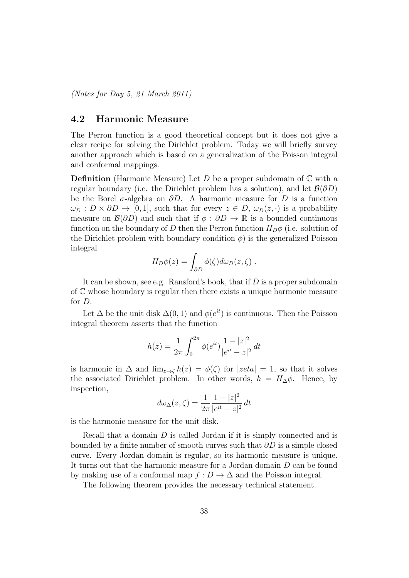(Notes for Day 5, 21 March 2011)

### 4.2 Harmonic Measure

The Perron function is a good theoretical concept but it does not give a clear recipe for solving the Dirichlet problem. Today we will briefly survey another approach which is based on a generalization of the Poisson integral and conformal mappings.

**Definition** (Harmonic Measure) Let D be a proper subdomain of  $\mathbb C$  with a regular boundary (i.e. the Dirichlet problem has a solution), and let  $\mathcal{B}(\partial D)$ be the Borel  $\sigma$ -algebra on  $\partial D$ . A harmonic measure for D is a function  $\omega_D : D \times \partial D \to [0, 1],$  such that for every  $z \in D$ ,  $\omega_D(z, \cdot)$  is a probability measure on  $\mathcal{B}(\partial D)$  and such that if  $\phi : \partial D \to \mathbb{R}$  is a bounded continuous function on the boundary of D then the Perron function  $H_D\phi$  (i.e. solution of the Dirichlet problem with boundary condition  $\phi$ ) is the generalized Poisson integral

$$
H_D \phi(z) = \int_{\partial D} \phi(\zeta) d\omega_D(z, \zeta) .
$$

It can be shown, see e.g. Ransford's book, that if D is a proper subdomain of C whose boundary is regular then there exists a unique harmonic measure for D.

Let  $\Delta$  be the unit disk  $\Delta(0,1)$  and  $\phi(e^{it})$  is continuous. Then the Poisson integral theorem asserts that the function

$$
h(z) = \frac{1}{2\pi} \int_0^{2\pi} \phi(e^{it}) \frac{1 - |z|^2}{|e^{it} - z|^2} dt
$$

is harmonic in  $\Delta$  and  $\lim_{z\to\zeta}h(z)=\phi(\zeta)$  for  $|zeta| = 1$ , so that it solves the associated Dirichlet problem. In other words,  $h = H_{\Delta}\phi$ . Hence, by inspection,

$$
d\omega_{\Delta}(z,\zeta) = \frac{1}{2\pi} \frac{1 - |z|^2}{|e^{it} - z|^2} dt
$$

is the harmonic measure for the unit disk.

Recall that a domain D is called Jordan if it is simply connected and is bounded by a finite number of smooth curves such that  $\partial D$  is a simple closed curve. Every Jordan domain is regular, so its harmonic measure is unique. It turns out that the harmonic measure for a Jordan domain D can be found by making use of a conformal map  $f: D \to \Delta$  and the Poisson integral.

The following theorem provides the necessary technical statement.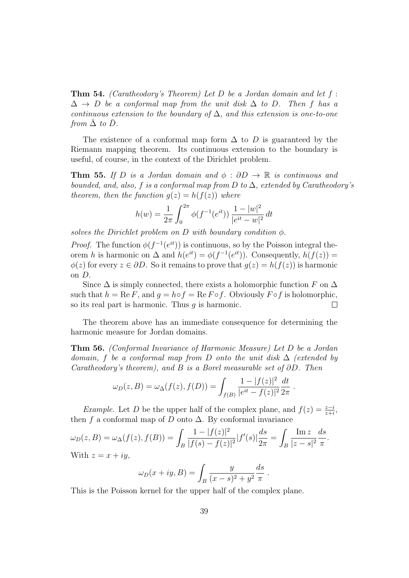**Thm 54.** (Caratheodory's Theorem) Let D be a Jordan domain and let  $f$ :  $\Delta \rightarrow D$  be a conformal map from the unit disk  $\Delta$  to D. Then f has a continuous extension to the boundary of  $\Delta$ , and this extension is one-to-one from  $\overline{\Delta}$  to  $\overline{D}$ .

The existence of a conformal map form  $\Delta$  to D is guaranteed by the Riemann mapping theorem. Its continuous extension to the boundary is useful, of course, in the context of the Dirichlet problem.

**Thm 55.** If D is a Jordan domain and  $\phi : \partial D \to \mathbb{R}$  is continuous and bounded, and, also, f is a conformal map from D to  $\Delta$ , extended by Caratheodory's theorem, then the function  $g(z) = h(f(z))$  where

$$
h(w) = \frac{1}{2\pi} \int_0^{2\pi} \phi(f^{-1}(e^{it})) \, \frac{1 - |w|^2}{|e^{it} - w|^2} \, dt
$$

solves the Dirichlet problem on D with boundary condition  $\phi$ .

*Proof.* The function  $\phi(f^{-1}(e^{it}))$  is continuous, so by the Poisson integral theorem h is harmonic on  $\Delta$  and  $h(e^{it}) = \phi(f^{-1}(e^{it}))$ . Consequently,  $h(f(z)) =$  $\phi(z)$  for every  $z \in \partial D$ . So it remains to prove that  $g(z) = h(f(z))$  is harmonic on D.

Since  $\Delta$  is simply connected, there exists a holomorphic function F on  $\Delta$ such that  $h = \text{Re } F$ , and  $g = h \circ f = \text{Re } F \circ f$ . Obviously  $F \circ f$  is holomorphic, so its real part is harmonic. Thus  $q$  is harmonic.  $\Box$ 

The theorem above has an immediate consequence for determining the harmonic measure for Jordan domains.

Thm 56. (Conformal Invariance of Harmonic Measure) Let D be a Jordan domain, f be a conformal map from D onto the unit disk  $\Delta$  (extended by Caratheodory's theorem), and B is a Borel measurable set of  $\partial D$ . Then

$$
\omega_D(z, B) = \omega_{\Delta}(f(z), f(D)) = \int_{f(B)} \frac{1 - |f(z)|^2}{|e^{it} - f(z)|^2} \frac{dt}{2\pi}.
$$

Example. Let D be the upper half of the complex plane, and  $f(z) = \frac{z-i}{z+i}$ , then f a conformal map of D onto  $\Delta$ . By conformal invariance

$$
\omega_D(z, B) = \omega_{\Delta}(f(z), f(B)) = \int_B \frac{1 - |f(z)|^2}{|f(s) - f(z)|^2} |f'(s)| \frac{ds}{2\pi} = \int_B \frac{\text{Im } z}{|z - s|^2} \frac{ds}{\pi}.
$$
  
With  $z = x + iy$ ,

$$
\omega_D(x+iy, B) = \int_B \frac{y}{(x-s)^2 + y^2} \frac{ds}{\pi}.
$$

This is the Poisson kernel for the upper half of the complex plane.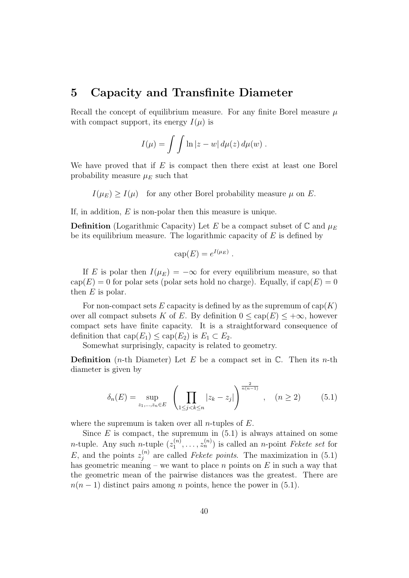## 5 Capacity and Transfinite Diameter

Recall the concept of equilibrium measure. For any finite Borel measure  $\mu$ with compact support, its energy  $I(\mu)$  is

$$
I(\mu) = \int \int \ln |z - w| d\mu(z) d\mu(w) .
$$

We have proved that if  $E$  is compact then there exist at least one Borel probability measure  $\mu_E$  such that

 $I(\mu_E) \geq I(\mu)$  for any other Borel probability measure  $\mu$  on E.

If, in addition,  $E$  is non-polar then this measure is unique.

**Definition** (Logarithmic Capacity) Let E be a compact subset of  $\mathbb{C}$  and  $\mu_E$ be its equilibrium measure. The logarithmic capacity of  $E$  is defined by

$$
cap(E) = e^{I(\mu_E)}.
$$

If E is polar then  $I(\mu_E) = -\infty$  for every equilibrium measure, so that  $cap(E) = 0$  for polar sets (polar sets hold no charge). Equally, if  $cap(E) = 0$ then  $E$  is polar.

For non-compact sets E capacity is defined by as the supremum of  $cap(K)$ over all compact subsets K of E. By definition  $0 \leq cap(E) \leq +\infty$ , however compact sets have finite capacity. It is a straightforward consequence of definition that  $cap(E_1) \leq cap(E_2)$  is  $E_1 \subset E_2$ .

Somewhat surprisingly, capacity is related to geometry.

**Definition** (*n*-th Diameter) Let E be a compact set in  $\mathbb{C}$ . Then its *n*-th diameter is given by

$$
\delta_n(E) = \sup_{z_1, \dots, z_n \in E} \left( \prod_{1 \le j < k \le n} |z_k - z_j| \right)^{\frac{2}{n(n-1)}}, \quad (n \ge 2) \tag{5.1}
$$

where the supremum is taken over all *n*-tuples of  $E$ .

Since  $E$  is compact, the supremum in  $(5.1)$  is always attained on some *n*-tuple. Any such *n*-tuple  $(z_1^{(n)})$  $\mathcal{L}_1^{(n)}, \ldots, \mathcal{Z}_n^{(n)}$  is called an *n*-point *Fekete set* for E, and the points  $z_i^{(n)}$  $j_j^{(n)}$  are called *Fekete points*. The maximization in (5.1) has geometric meaning – we want to place n points on  $E$  in such a way that the geometric mean of the pairwise distances was the greatest. There are  $n(n-1)$  distinct pairs among n points, hence the power in (5.1).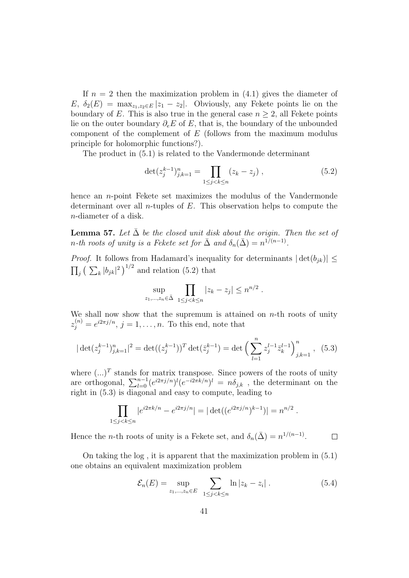If  $n = 2$  then the maximization problem in  $(4.1)$  gives the diameter of  $E, \delta_2(E) = \max_{z_1,z_2 \in E} |z_1 - z_2|$ . Obviously, any Fekete points lie on the boundary of E. This is also true in the general case  $n \geq 2$ , all Fekete points lie on the outer boundary  $\partial_{\epsilon}E$  of E, that is, the boundary of the unbounded component of the complement of  $E$  (follows from the maximum modulus principle for holomorphic functions?).

The product in (5.1) is related to the Vandermonde determinant

$$
\det(z_j^{k-1})_{j,k=1}^n = \prod_{1 \le j < k \le n} (z_k - z_j) \tag{5.2}
$$

hence an  $n$ -point Fekete set maximizes the modulus of the Vandermonde determinant over all *n*-tuples of  $E$ . This observation helps to compute the n-diameter of a disk.

**Lemma 57.** Let  $\bar{\Delta}$  be the closed unit disk about the origin. Then the set of n-th roots of unity is a Fekete set for  $\bar{\Delta}$  and  $\delta_n(\bar{\Delta}) = n^{1/(n-1)}$ .

*Proof.* It follows from Hadamard's inequality for determinants  $|\det(b_{ik})| \leq$  $\prod_j \left( \sum_k |b_{jk}|^2 \right)^{1/2}$  and relation (5.2) that

$$
\sup_{z_1,\ldots,z_n\in\bar{\Delta}}\ \prod_{1\leq j
$$

We shall now show that the supremum is attained on  $n$ -th roots of unity  $z_j^{(n)} = e^{i2\pi j/n}, j = 1, \dots, n$ . To this end, note that

$$
|\det(z_j^{k-1})_{j,k=1}^n|^2 = \det((z_j^{k-1}))^T \det(\bar{z}_j^{k-1}) = \det\left(\sum_{l=1}^n z_j^{l-1} \bar{z}_k^{l-1}\right)_{j,k=1}^n, (5.3)
$$

where  $(\ldots)^T$  stands for matrix transpose. Since powers of the roots of unity are orthogonal,  $\sum_{l=0}^{n-1} (e^{i2\pi j/n})^l (e^{-i2\pi k/n})^l = n\delta_{j,k}$ , the determinant on the right in (5.3) is diagonal and easy to compute, leading to

$$
\prod_{1 \le j < k \le n} |e^{i2\pi k/n} - e^{i2\pi j/n}| = |\det((e^{i2\pi j/n})^{k-1})| = n^{n/2}.
$$

Hence the *n*-th roots of unity is a Fekete set, and  $\delta_n(\bar{\Delta}) = n^{1/(n-1)}$ .  $\Box$ 

On taking the log , it is apparent that the maximization problem in (5.1) one obtains an equivalent maximization problem

$$
\mathcal{E}_n(E) = \sup_{z_1,\dots,z_n \in E} \sum_{1 \le j < k \le n} \ln |z_k - z_i| \tag{5.4}
$$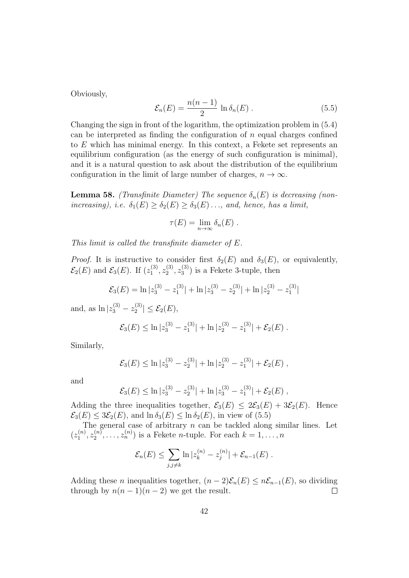Obviously,

$$
\mathcal{E}_n(E) = \frac{n(n-1)}{2} \ln \delta_n(E) . \qquad (5.5)
$$

Changing the sign in front of the logarithm, the optimization problem in (5.4) can be interpreted as finding the configuration of  $n$  equal charges confined to E which has minimal energy. In this context, a Fekete set represents an equilibrium configuration (as the energy of such configuration is minimal), and it is a natural question to ask about the distribution of the equilibrium configuration in the limit of large number of charges,  $n \to \infty$ .

**Lemma 58.** (Transfinite Diameter) The sequence  $\delta_n(E)$  is decreasing (nonincreasing), i.e.  $\delta_1(E) \geq \delta_2(E) \geq \delta_3(E) \dots$ , and, hence, has a limit,

$$
\tau(E) = \lim_{n \to \infty} \delta_n(E) .
$$

This limit is called the transfinite diameter of E.

*Proof.* It is instructive to consider first  $\delta_2(E)$  and  $\delta_3(E)$ , or equivalently,  $\mathcal{E}_2(E)$  and  $\mathcal{E}_3(E)$ . If  $(z_1^{(3)}$  $\overset{(3)}{1},\overset{(3)}{z_2}$  $\overset{(3)}{2}, \overset{(3)}{z_3}$  $\binom{3}{3}$  is a Fekete 3-tuple, then

$$
\mathcal{E}_3(E) = \ln |z_3^{(3)} - z_1^{(3)}| + \ln |z_3^{(3)} - z_2^{(3)}| + \ln |z_2^{(3)} - z_1^{(3)}|
$$

and, as  $\ln |z_3^{(3)} - z_2^{(3)}|$  $\left| \frac{1}{2} \right| \leq \mathcal{E}_2(E),$ 

$$
\mathcal{E}_3(E) \leq \ln |z_3^{(3)} - z_1^{(3)}| + \ln |z_2^{(3)} - z_1^{(3)}| + \mathcal{E}_2(E).
$$

Similarly,

$$
\mathcal{E}_3(E) \leq \ln |z_3^{(3)} - z_2^{(3)}| + \ln |z_2^{(3)} - z_1^{(3)}| + \mathcal{E}_2(E)
$$
,

and

$$
\mathcal{E}_3(E) \leq \ln |z_3^{(3)} - z_2^{(3)}| + \ln |z_3^{(3)} - z_1^{(3)}| + \mathcal{E}_2(E)
$$
,

Adding the three inequalities together,  $\mathcal{E}_3(E) \leq 2\mathcal{E}_3(E) + 3\mathcal{E}_2(E)$ . Hence  $\mathcal{E}_3(E) \leq 3\mathcal{E}_2(E)$ , and  $\ln \delta_3(E) \leq \ln \delta_2(E)$ , in view of (5.5)

The general case of arbitrary  $n$  can be tackled along similar lines. Let  $(z_1^{(n)}$  $\zeta_1^{(n)},z_2^{(n)}$  $\mathbf{z}_2^{(n)}, \ldots, \mathbf{z}_n^{(n)}$  is a Fekete *n*-tuple. For each  $k = 1, \ldots, n$ 

$$
\mathcal{E}_n(E) \le \sum_{j,j\neq k} \ln |z_k^{(n)} - z_j^{(n)}| + \mathcal{E}_{n-1}(E).
$$

Adding these *n* inequalities together,  $(n-2)\mathcal{E}_n(E) \leq n\mathcal{E}_{n-1}(E)$ , so dividing through by  $n(n-1)(n-2)$  we get the result.  $\Box$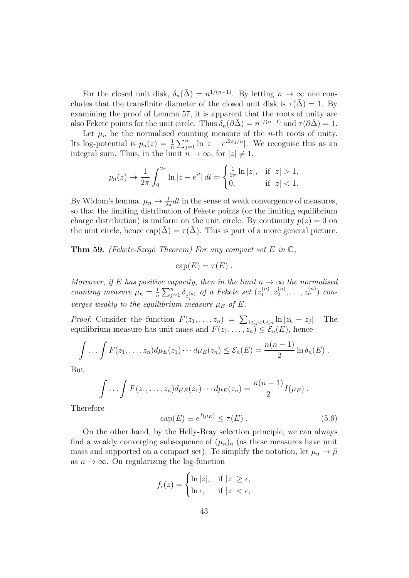For the closed unit disk,  $\delta_n(\bar{\Delta}) = n^{1/(n-1)}$ . By letting  $n \to \infty$  one concludes that the transfinite diameter of the closed unit disk is  $\tau(\bar{\Delta}) = 1$ . By examining the proof of Lemma 57, it is apparent that the roots of unity are also Fekete points for the unit circle. Thus  $\delta_n(\partial \bar{\Delta}) = n^{1/(n-1)}$  and  $\tau(\partial \bar{\Delta}) = 1$ .

Let  $\mu_n$  be the normalised counting measure of the *n*-th roots of unity. Its log-potential is  $p_n(z) = \frac{1}{n} \sum_{j=1}^n \ln |z - e^{i2\pi j/n}|$ . We recognise this as an integral sum. Thus, in the limit  $n \to \infty$ , for  $|z| \neq 1$ ,

$$
p_n(z) \to \frac{1}{2\pi} \int_0^{2\pi} \ln|z - e^{it}| \, dt = \begin{cases} \frac{1}{2\pi} \ln|z|, & \text{if } |z| > 1, \\ 0, & \text{if } |z| < 1. \end{cases}
$$

By Widom's lemma,  $\mu_n \to \frac{1}{2\pi} dt$  in the sense of weak convergence of measures, so that the limiting distribution of Fekete points (or the limiting equilibrium charge distribution) is uniform on the unit circle. By continuity  $p(z) = 0$  on the unit circle, hence  $cap(\bar{\Delta}) = \tau(\bar{\Delta})$ . This is part of a more general picture.

**Thm 59.** (Fekete-Szegö Theorem) For any compact set E in  $\mathbb{C}$ ,

$$
cap(E) = \tau(E) .
$$

Moreover, if E has positive capacity, then in the limit  $n \to \infty$  the normalised counting measure  $\mu_n = \frac{1}{n}$  $\frac{1}{n}\sum_{j=1}^n \delta_{z_j^{(n)}}$  of a Fekete set  $(z_1^{(n)})$  $\tilde{z}_1^{(n)}, z_2^{(n)}$  $z_2^{(n)},\ldots,z_n^{(n)})$  converges weakly to the equilibrium measure  $\mu_E$  of E.

*Proof.* Consider the function  $F(z_1, \ldots, z_n) = \sum_{1 \leq j < k \leq n} \ln |z_k - z_j|$ |. The equilibrium measure has unit mass and  $F(z_1, \ldots, z_n) \leq \mathcal{E}_n(E)$ , hence

$$
\int \ldots \int F(z_1,\ldots,z_n)d\mu_E(z_1)\cdots d\mu_E(z_n) \leq \mathcal{E}_n(E) = \frac{n(n-1)}{2}\ln \delta_n(E).
$$

But

$$
\int \ldots \int F(z_1,\ldots,z_n)d\mu_E(z_1)\cdots d\mu_E(z_n)=\frac{n(n-1)}{2}I(\mu_E).
$$

Therefore

$$
cap(E) \equiv e^{I(\mu_E)} \le \tau(E) \tag{5.6}
$$

On the other hand, by the Helly-Bray selection principle, we can always find a weakly converging subsequence of  $(\mu_n)_n$  (as these measures have unit mass and supported on a compact set). To simplify the notation, let  $\mu_n \to \tilde{\mu}$ as  $n \to \infty$ . On regularizing the log-function

$$
f_{\epsilon}(z) = \begin{cases} \ln|z|, & \text{if } |z| \geq \epsilon, \\ \ln \epsilon, & \text{if } |z| < \epsilon, \end{cases}
$$